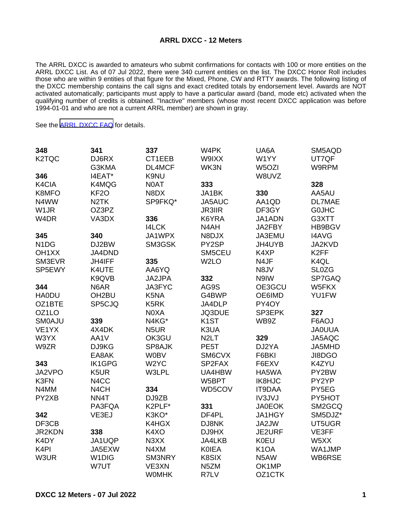## **ARRL DXCC - 12 Meters**

The ARRL DXCC is awarded to amateurs who submit confirmations for contacts with 100 or more entities on the ARRL DXCC List. As of 07 Jul 2022, there were 340 current entities on the list. The DXCC Honor Roll includes those who are within 9 entities of that figure for the Mixed, Phone, CW and RTTY awards. The following listing of the DXCC membership contains the call signs and exact credited totals by endorsement level. Awards are NOT activated automatically; participants must apply to have a particular award (band, mode etc) activated when the qualifying number of credits is obtained. "Inactive" members (whose most recent DXCC application was before 1994-01-01 and who are not a current ARRL member) are shown in gray.

See the [ARRL DXCC FAQ](http://www.arrl.org/dxcc-faq/) for details.

| 348                           | 341                | 337               | W4PK              | UA6A               | SM5AQD            |
|-------------------------------|--------------------|-------------------|-------------------|--------------------|-------------------|
| K2TQC                         | DJ6RX              | CT1EEB            | W9IXX             | W1YY               | UT7QF             |
|                               | G3KMA              | DL4MCF            | WK3N              | W <sub>5</sub> OZI | W9RPM             |
| 346                           | I4EAT*             | K9NU              |                   | W8UVZ              |                   |
| K4CIA                         | K4MQG              | N0AT              | 333               |                    | 328               |
| K8MFO                         | KF <sub>2</sub> O  | N8DX              | JA1BK             | 330                | AA5AU             |
| N4WW                          | N <sub>2</sub> TK  | SP9FKQ*           | JA5AUC            | AA1QD              | <b>DL7MAE</b>     |
| W <sub>1</sub> JR             | OZ3PZ              |                   | <b>JR3IIR</b>     | DF3GY              | <b>GOJHC</b>      |
| W <sub>4</sub> DR             | VA3DX              | 336               | K6YRA             | JA1ADN             | G3XTT             |
|                               |                    | <b>I4LCK</b>      | N4AH              | JA2FBY             | HB9BGV            |
| 345                           | 340                | JA1WPX            | N8DJX             | JA3EMU             | <b>I4AVG</b>      |
| N <sub>1</sub> D <sub>G</sub> | DJ2BW              | SM3GSK            | PY2SP             | JH4UYB             | JA2KVD            |
| OH <sub>1</sub> XX            | JA4DND             |                   | SM5CEU            | K4XP               | K <sub>2</sub> FF |
| SM3EVR                        | <b>JH4IFF</b>      | 335               | W <sub>2</sub> LO | N4JF               | K4QL              |
| SP5EWY                        | K4UTE              | AA6YQ             |                   | N8JV               | <b>SL0ZG</b>      |
|                               | K9QVB              | JA2JPA            | 332               | N9IW               | SP7GAQ            |
| 344                           | N6AR               | JA3FYC            | AG9S              | OE3GCU             | W5FKX             |
| <b>HA0DU</b>                  | OH <sub>2</sub> BU | K5NA              | G4BWP             | OE6IMD             | YU1FW             |
| OZ1BTE                        | SP5CJQ             | K5RK              | JA4DLP            | PY4OY              |                   |
| OZ1LO                         |                    | N0XA              | JQ3DUE            | SP3EPK             | 327               |
| <b>SMOAJU</b>                 | 339                | N4KG*             | K <sub>1</sub> ST | WB9Z               | F6AOJ             |
| VE1YX                         | 4X4DK              | N <sub>5</sub> UR | K3UA              |                    | <b>JAOUUA</b>     |
| W3YX                          | AA1V               | OK3GU             | N <sub>2</sub> LT | 329                | JA5AQC            |
| W9ZR                          | DJ9KG              | SP8AJK            | PE <sub>5</sub> T | DJ2YA              | JA5MHD            |
|                               | EA8AK              | <b>W0BV</b>       | SM6CVX            | F6BKI              | JI8DGO            |
| 343                           | <b>IK1GPG</b>      | W <sub>2</sub> YC | SP2FAX            | F6EXV              | K4ZYU             |
| JA2VPO                        | K5UR               | W3LPL             | UA4HBW            | HA5WA              | PY2BW             |
| K3FN                          | N4CC               |                   | W5BPT             | <b>IK8HJC</b>      | PY2YP             |
| N4MM                          | N <sub>4</sub> CH  | 334               | WD5COV            | <b>IT9DAA</b>      | PY5EG             |
| PY2XB                         | NN4T               | DJ9ZB             |                   | <b>IV3JVJ</b>      | PY5HOT            |
|                               | PA3FQA             | K2PLF*            | 331               | <b>JA0EOK</b>      | SM2GCQ            |
| 342                           | VE3EJ              | K3KO*             | DF4PL             | JA1HGY             | SM5DJZ*           |
| DF3CB                         |                    | K4HGX             | DJ8NK             | JA2JW              | UT5UGR            |
| JR2KDN                        | 338                | K4XO              | DJ9HX             | JE2URF             | VE3FF             |
| K4DY                          | JA1UQP             | N3XX              | JA4LKB            | <b>K0EU</b>        | W5XX              |
| K <sub>4</sub> PI             | JA5EXW             | N4XM              | <b>KOIEA</b>      | K <sub>1</sub> OA  | WA1JMP            |
| W3UR                          | W1DIG              | SM3NRY            | K8SIX             | N5AW               | WB6RSE            |
|                               | W7UT               | VE3XN             | N5ZM              | OK1MP              |                   |
|                               |                    | <b>WOMHK</b>      | R7LV              | OZ1CTK             |                   |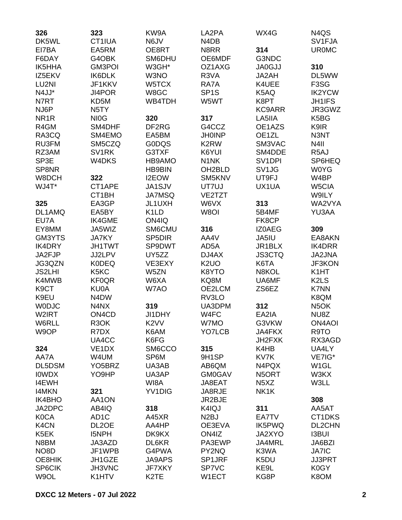| 326               | 323                            | KW9A                | LA2PA                         | WX4G                          | N4QS                          |
|-------------------|--------------------------------|---------------------|-------------------------------|-------------------------------|-------------------------------|
| DK5WL             | CT1IUA                         | N6JV                | N <sub>4</sub> D <sub>B</sub> |                               | SV1FJA                        |
| EI7BA             | EA5RM                          | OE8RT               | N8RR                          | 314                           | <b>UR0MC</b>                  |
| F6DAY             | G4OBK                          | SM6DHU              | OE6MDF                        | G3NDC                         |                               |
| <b>IK5HHA</b>     | <b>GM3POI</b>                  | W3GH*               | OZ1AXG                        | <b>JA0GJJ</b>                 | 310                           |
| IZ5EKV            | <b>IK6DLK</b>                  | W3NO                | R3VA                          | JA2AH                         | DL5WW                         |
| LU2NI             | JF1KKV                         | W5TCX               | RA7A                          | K4UEE                         | F <sub>3</sub> S <sub>G</sub> |
| N4JJ*             | JI4POR                         | W8GC                | SP <sub>1</sub> S             | K5AQ                          | <b>IK2YCW</b>                 |
| N7RT              | KD5M                           | WB4TDH              | W5WT                          | K8PT                          | <b>JH1IFS</b>                 |
| NJ6P              | N <sub>5</sub> TY              |                     |                               | <b>KC9ARR</b>                 | JR3GWZ                        |
| NR <sub>1</sub> R | NI <sub>0</sub> G              | 320                 | 317                           | LA5IIA                        | K5BG                          |
| R4GM              | SM4DHF                         | DF2RG               | G4CCZ                         | OE1AZS                        | K9IR                          |
| RA3CQ             | SM4EMO                         | EA5BM               | <b>JH0INP</b>                 | OE1ZL                         | N3NT                          |
| RU3FM             | SM5CZQ                         | <b>GODQS</b>        | K <sub>2</sub> RW             | SM3VAC                        | N <sub>4</sub> II             |
| RZ3AM             | SV <sub>1</sub> RK             | G3TXF               | K6YUI                         | SM4DDE                        | R <sub>5</sub> AJ             |
| SP3E              | W4DKS                          | HB9AMO              | N <sub>1</sub> NK             | SV <sub>1</sub> DPI           | SP6HEQ                        |
| SP8NR             |                                | <b>HB9BIN</b>       | OH <sub>2</sub> BLD           | SV1JG                         | <b>W0YG</b>                   |
| W8DCH             | 322                            | I2EOW               | SM5KNV                        | UT9FJ                         | W4BP                          |
| WJ4T*             | CT1APE                         | JA1SJV              | UT7UJ                         | UX1UA                         | W5CIA                         |
|                   | CT1BH                          | <b>JA7MSQ</b>       | VE2TZT                        |                               | W9ILY                         |
| 325               | EA3GP                          | JL1UXH              | W6VX                          | 313                           | WA2VYA                        |
| DL1AMQ            | EA5BY                          | K <sub>1</sub> LD   | W8OI                          | 5B4MF                         | YU3AA                         |
| EU7A              | <b>IK4GME</b>                  | ON4IQ               |                               | FK8CP                         |                               |
| EY8MM             | JA5WIZ                         | SM6CMU              | 316                           | IZ0AEG                        | 309                           |
| GM3YTS            | <b>JA7KY</b>                   | SP <sub>5</sub> DIR | AA4V                          | JA5IU                         | EA8AKN                        |
| <b>IK4DRY</b>     | <b>JH1TWT</b>                  | SP9DWT              | AD5A                          | JR1BLX                        | IK4DRR                        |
| JA2FJP            | JJ2LPV                         | UY5ZZ               | DJ4AX                         | <b>JS3CTQ</b>                 | JA2JNA                        |
|                   |                                |                     |                               |                               |                               |
| JG3QZN            | <b>K0DEQ</b>                   | VE3EXY              | K <sub>2</sub> UO             | K6TA                          | JF3KON                        |
| <b>JS2LHI</b>     | K5KC                           | W5ZN                | K8YTO                         | N8KOL                         | K <sub>1</sub> HT             |
| K4MWB             | <b>KF0QR</b>                   | W6XA                | KQ8M                          | UA6MF                         | K <sub>2</sub> L <sub>S</sub> |
| K9CT              | KU0A                           | W7AO                | OE2LCM                        | ZS6EZ                         | <b>K7NN</b>                   |
| K9EU              | N4DW                           |                     | RV3LO                         |                               | K8QM                          |
| <b>WODJC</b>      | N4NX                           | 319                 | UA3DPM                        | 312                           | N <sub>5</sub> OK             |
| W2IRT             | ON <sub>4</sub> C <sub>D</sub> | JI1DHY              | W4FC                          | EA2IA                         | NU8Z                          |
| W6RLL             | R <sub>3</sub> OK              | K <sub>2</sub> VV   | W7MO                          | G3VKW                         | <b>ON4AOI</b>                 |
| W9OP              | R7DX                           | K6AM                | YO7LCB                        | JA4FKX                        | R9TO                          |
|                   | UA4CC                          | K6FG                |                               | JH2FXK                        | RX3AGD                        |
| 324               | VE <sub>1</sub> DX             | SM6CCO              | 315                           | K4HB                          | UA4LY                         |
| AA7A              | W4UM                           | SP6M                | 9H1SP                         | KV7K                          | VE7IG*                        |
| DL5DSM            | YO <sub>5</sub> BRZ            | UA3AB               | AB6QM                         | N4PQX                         | W <sub>1</sub> GL             |
| <b>IOWDX</b>      | YO9HP                          | UA3AP               | <b>GM0GAV</b>                 | N5ORT                         | W3KX                          |
| <b>I4EWH</b>      |                                | WI8A                | JA8EAT                        | N <sub>5</sub> X <sub>Z</sub> | W3LL                          |
| <b>I4MKN</b>      | 321                            | YV1DIG              | JA8RJE                        | NK1K                          |                               |
| IK4BHO            | AA1ON                          |                     | JR2BJE                        |                               | 308                           |
| JA2DPC            | AB4IQ                          | 318                 | K4IQJ                         | 311                           | AA5AT                         |
| <b>K0CA</b>       | AD <sub>1</sub> C              | A45XR               | N <sub>2</sub> BJ             | EA7TV                         | CT1DKS                        |
| K4CN              | DL2OE                          | AA4HP               | OE3EVA                        | IK5PWQ                        | DL2CHN                        |
| K5EK              | <b>I5NPH</b>                   | DK9KX               | ON4IZ                         | JA2XYO                        | <b>I3BUI</b>                  |
| N8BM              | JA3AZD                         | DL6KR               | PA3EWP                        | JA4MRL                        | JA6BZI                        |
| NO <sub>8</sub> D | JF1WPB                         | G4PWA               | PY2NQ                         | K3WA                          | <b>JA7IC</b>                  |
| OE8HIK            | JH1GZE                         | <b>JA9APS</b>       | SP1JRF                        | K5DU                          | <b>JJ3PRT</b>                 |
| SP6CIK            | JH3VNC                         | <b>JF7XKY</b>       | SP7VC                         | KE9L                          | K0GY                          |
| W9OL              | K1HTV                          | K <sub>2</sub> TE   | W1ECT                         | KG8P                          | K8OM                          |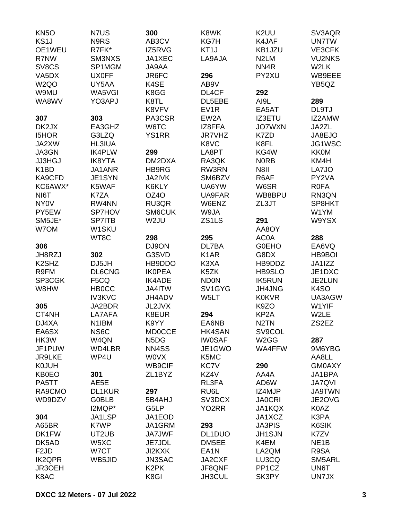| <b>KN5O</b>                    | N7US          | 300               | K8WK               | K <sub>2</sub> UU  | SV3AQR            |
|--------------------------------|---------------|-------------------|--------------------|--------------------|-------------------|
| KS <sub>1</sub> J              | N9RS          | AB3CV             | KG7H               | K4JAF              | <b>UN7TW</b>      |
| OE1WEU                         | R7FK*         | IZ5RVG            | KT <sub>1</sub> J  | KB1JZU             | VE3CFK            |
| R7NW                           | SM3NXS        | JA1XEC            | LA9AJA             | N <sub>2</sub> LM  | <b>VU2NKS</b>     |
| SV8CS                          | SP1MGM        | JA9AA             |                    | NN4R               | W2LK              |
| VA5DX                          | <b>UX0FF</b>  | JR6FC             | 296                | PY2XU              | WB9EEE            |
| W <sub>2Q</sub> O              | UY5AA         | K4SE              | AB9V               |                    | YB5QZ             |
|                                | WA5VGI        |                   | DL4CF              |                    |                   |
| W9MU                           |               | K8GG              |                    | 292                |                   |
| WA8WV                          | YO3APJ        | K8TL              | DL5EBE             | AI9L               | 289               |
|                                |               | K8VFV             | EV <sub>1</sub> R  | EA5AT              | DL9TJ             |
| 307                            | 303           | PA3CSR            | EW <sub>2</sub> A  | IZ3ETU             | IZ2AMW            |
| DK2JX                          | EA3GHZ        | W6TC              | IZ8FFA             | <b>JO7WXN</b>      | JA2ZL             |
| <b>I5HOR</b>                   | G3LZQ         | <b>YS1RR</b>      | <b>JR7VHZ</b>      | K7ZD               | JA8EJO            |
| JA2XW                          | <b>HL3IUA</b> |                   | K8VC               | K8FL               | JG1WSC            |
| JA3GN                          | <b>IK4PLW</b> | 299               | LA8PT              | KG4W               | <b>KK0M</b>       |
| <b>JJ3HGJ</b>                  | <b>IK8YTA</b> | DM2DXA            | RA3QK              | <b>NORB</b>        | KM4H              |
| K <sub>1</sub> BD              | JA1ANR        | HB9RG             | RW3RN              | <b>N8II</b>        | LA7JO             |
| KA9CFD                         | JE1SYN        | <b>JA2IVK</b>     | SM6BZV             | R6AF               | PY2VA             |
| KC6AWX*                        | K5WAF         | K6KLY             | UA6YW              | W6SR               | <b>R0FA</b>       |
| NI6T                           | K7ZA          | OZ4O              | UA9FAR             | WB8BPU             | RN3QN             |
| <b>NY0V</b>                    | RW4NN         | RU3QR             | W6ENZ              | ZL3JT              | SP8HKT            |
| PY5EW                          | SP7HOV        | <b>SM6CUK</b>     | W9JA               |                    | W1YM              |
| SM5JE*                         | <b>SP7ITB</b> | W2JU              | ZS1LS              | 291                | W9YSX             |
| W7OM                           | W1SKU         |                   |                    | AA8OY              |                   |
|                                | WT8C          | 298               | 295                | AC0A               | 288               |
| 306                            |               | DJ9ON             | DL7BA              | <b>GOEHO</b>       | EA6VQ             |
| JH8RZJ                         | 302           | G3SVD             | K <sub>1</sub> AR  | G8DX               | HB9BOI            |
| K <sub>2</sub> SH <sub>Z</sub> | DJ5JH         |                   | K3XA               |                    |                   |
|                                |               | HB9DDO            |                    | HB9DDZ             | JA1IZZ            |
| R9FM                           | DL6CNG        | <b>IKOPEA</b>     | K5ZK               | HB9SLO             | JE1DXC            |
| SP3CGK                         | F5CQ          | <b>IK4ADE</b>     | <b>ND0N</b>        | <b>IK5RUN</b>      | JE2LUN            |
| W8HW                           | <b>HBOCC</b>  | JA4ITW            | SV1GYG             | JH4JNG             | K <sub>4</sub> SO |
|                                | <b>IV3KVC</b> | JH4ADV            | W <sub>5</sub> LT  | <b>K0KVR</b>       | UA3AGW            |
| 305                            | JA2BDR        | JL2JVX            |                    | K9ZO               | W1YIF             |
| CT4NH                          | LA7AFA        | K8EUR             | 294                | KP <sub>2</sub> A  | W2LE              |
| DJ4XA                          | N1IBM         | K9YY              | EA6NB              | N <sub>2</sub> TN  | ZS2EZ             |
| EA6SX                          | NS6C          | <b>MD0CCE</b>     | <b>HK4SAN</b>      | SV9COL             |                   |
| HK3W                           | W4QN          | N5DG              | <b>IW0SAF</b>      | W <sub>2</sub> GG  | 287               |
| JF1PUW                         | WD4LBR        | NN4SS             | JE1GWO             | WA4FFW             | 9M6YBG            |
| <b>JR9LKE</b>                  | WP4U          | <b>WOVX</b>       | K5MC               |                    | AA8LL             |
| <b>K0JUH</b>                   |               | <b>WB9CIF</b>     | KC7V               | 290                | <b>GM0AXY</b>     |
| <b>KB0EO</b>                   | 301           | ZL1BYZ            | KZ4V               | AA4A               | JA1BPA            |
| PA5TT                          | AE5E          |                   | RL3FA              | AD6W               | <b>JA7QVI</b>     |
| RA9CMO                         | <b>DL1KUR</b> | 297               | RU6L               | IZ4MJP             | <b>JA9TWN</b>     |
| WD9DZV                         | <b>GOBLB</b>  | 5B4AHJ            | SV3DCX             | <b>JA0CRI</b>      | JE2OVG            |
|                                | I2MQP*        | G5LP              | YO <sub>2</sub> RR | JA1KQX             | K0AZ              |
| 304                            | JA1LSP        | JA1EOD            |                    | JA1XCZ             | K3PA              |
| A65BR                          | K7WP          | JA1GRM            | 293                | <b>JA3PIS</b>      | K6SIK             |
| DK1FW                          | UT2UB         | <b>JA7JWF</b>     | DL1DUO             | <b>JH1SJN</b>      | K7ZV              |
| DK5AD                          | W5XC          | JE7JDL            | DM5EE              | K4EM               | NE <sub>1</sub> B |
|                                |               |                   |                    |                    |                   |
| F <sub>2</sub> JD              | W7CT          | <b>JI2KXK</b>     | EA <sub>1</sub> N  | LA2QM              | R9SA              |
| <b>IK2QPR</b>                  | WB5JID        | <b>JN3SAC</b>     | JA2CXF             | LU3CQ              | SM5ARL            |
| JR3OEH                         |               | K <sub>2</sub> PK | JF8QNF             | PP <sub>1</sub> CZ | UN6T              |
| K8AC                           |               | K8GI              | JH3CUL             | SK3PY              | <b>UN7JX</b>      |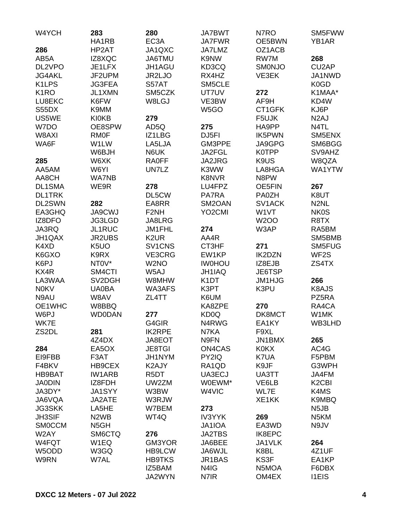| W4YCH             | 283<br>HA1RB                  | 280<br>EC3A       | <b>JA7BWT</b><br>JA7FWR | N7RO<br>OE5BWN      | SM5FWW<br>YB <sub>1</sub> AR   |
|-------------------|-------------------------------|-------------------|-------------------------|---------------------|--------------------------------|
| 286               | HP2AT                         | JA1QXC            | JA7LMZ                  | OZ1ACB              |                                |
| AB5A              | IZ8XQC                        | JA6TMU            | K9NW                    | RW7M                | 268                            |
| DL2VPO            | JE1LFX                        | JH1AGU            | KD3CQ                   | <b>SMONJO</b>       | CU <sub>2</sub> AP             |
| <b>JG4AKL</b>     | JF2UPM                        | JR2LJO            | RX4HZ                   | VE3EK               | JA1NWD                         |
| K1LPS             |                               |                   |                         |                     | K0GD                           |
| K <sub>1</sub> RO | <b>JG3FEA</b>                 | S57AT             | SM5CLE                  |                     |                                |
|                   | JL1XMN                        | SM5CZK            | UT7UV                   | 272                 | K1MAA*                         |
| LU8EKC            | K6FW                          | W8LGJ             | VE3BW                   | AF9H                | KD4W                           |
| S55DX             | K9MM                          |                   | W5GO                    | CT1GFK              | KJ6P                           |
| US5WE             | <b>KI0KB</b>                  | 279               |                         | F5UJK               | N <sub>2</sub> AJ              |
| W7DO              | OE8SPW                        | AD5Q              | 275                     | HA9PP               | N4TL                           |
| W8AXI             | <b>RMOF</b>                   | IZ1LBG            | DJ5FI                   | IK5PWN              | SM5ENX                         |
| WA6F              | W1LW                          | LA5LJA            | GM3PPE                  | JA9GPG              | SM6BGG                         |
|                   | W6BJH                         | N6UK              | JA2FGL                  | K0TPP               | SV9AHZ                         |
| 285               | W6XK                          | <b>RA0FF</b>      | JA2JRG                  | K9US                | W8QZA                          |
| AA5AM             | W6YI                          | UN7LZ             | K3WW                    | LA8HGA              | WA1YTW                         |
| AA8CH             | <b>WA7NB</b>                  |                   | <b>K8NVR</b>            | N8PW                |                                |
| <b>DL1SMA</b>     | WE9R                          | 278               | LU4FPZ                  | OE5FIN              | 267                            |
| <b>DL1TRK</b>     |                               | DL5CW             | PA7RA                   | <b>PA0ZH</b>        | K8UT                           |
| DL2SWN            | 282                           | EA8RR             | SM2OAN                  | SV <sub>1</sub> ACK | N <sub>2</sub> NL              |
| EA3GHQ            | <b>JA9CWJ</b>                 | F <sub>2NH</sub>  | YO <sub>2</sub> CMI     | W1VT                | <b>NK0S</b>                    |
| IZ8DFO            | JG3LGD                        | JA8LRG            |                         | <b>W2OO</b>         | R8TX                           |
| JA3RQ             | <b>JL1RUC</b>                 | JM1FHL            | 274                     | W3AP                | RA5BM                          |
| JH1QAX            | <b>JR2UBS</b>                 | K <sub>2</sub> UR | AA4R                    |                     | SM5BMB                         |
| K4XD              | K <sub>5</sub> UO             | SV1CNS            | CT3HF                   | 271                 | SM5FUG                         |
| K6GXO             | K9RX                          | VE3CRG            | EW1KP                   | <b>IK2DZN</b>       | WF <sub>2</sub> S              |
| K6PJ              | NT0V*                         | W2NO              | <b>IWOHOU</b>           | IZ8EJB              | ZS4TX                          |
| KX4R              | SM4CTI                        | W5AJ              | JH1IAQ                  | JE6TSP              |                                |
| LA3WAA            | SV2DGH                        | W8MHW             | K <sub>1</sub> DT       | <b>JM1HJG</b>       | 266                            |
| <b>N0KV</b>       | <b>UA0BA</b>                  | WA3AFS            | K3PT                    | K3PU                | K8AJS                          |
| N9AU              | W8AV                          | ZL4TT             | K6UM                    |                     | PZ5RA                          |
| OE1WHC            | W8BBQ                         |                   | KA8ZPE                  | 270                 | RA4CA                          |
| W6PJ              | <b>WD0DAN</b>                 | 277               | KD0Q                    | DK8MCT              | W1MK                           |
| WK7E              |                               | G4GIR             | N4RWG                   | EA1KY               | WB3LHD                         |
| ZS2DL             | 281                           | <b>IK2RPE</b>     | N7KA                    | F9XL                |                                |
|                   | 4Z4DX                         | JA8EOT            | N9FN                    | <b>JN1BMX</b>       | 265                            |
| 284               | EA5OX                         | <b>JE8TGI</b>     | <b>ON4CAS</b>           | <b>KOKX</b>         | AC4G                           |
| EI9FBB            | F3AT                          | JH1NYM            | PY2IQ                   | K7UA                | F5PBM                          |
| F4BKV             | HB9CEX                        | K2AJY             | RA1QD                   | K9JF                | G3WPH                          |
| HB9BAT            | <b>IW1ARB</b>                 | R <sub>5</sub> DT | UA3ECJ                  | UA3TT               | JA4FM                          |
| <b>JA0DIN</b>     | IZ8FDH                        | UW2ZM             | W0EWM*                  | VE6LB               | K <sub>2</sub> C <sub>BI</sub> |
| JA3DY*            | <b>JA1SYY</b>                 | W3BW              | W4VIC                   | WL7E                | K4MS                           |
| JA6VQA            | JA2ATE                        | W3RJW             |                         | XE1KK               | K9MBQ                          |
| <b>JG3SKK</b>     | LA5HE                         | W7BEM             | 273                     |                     | N <sub>5</sub> JB              |
| <b>JH3SIF</b>     | N <sub>2</sub> W <sub>B</sub> | WT4Q              | <b>IV3YYK</b>           | 269                 | N <sub>5</sub> KM              |
| <b>SMOCCM</b>     | N <sub>5</sub> GH             |                   | <b>JA1IOA</b>           | EA3WD               | N9JV                           |
| W2AY              | SM6CTQ                        | 276               | <b>JA2TBS</b>           | IK8EPC              |                                |
| W4FQT             | W1EQ                          | GM3YOR            | JA6BEE                  | JA1VLK              | 264                            |
| W5ODD             | W3GQ                          | <b>HB9LCW</b>     | JA6WJL                  | K8BL                | 4Z1UF                          |
| W9RN              | W7AL                          | <b>HB9TKS</b>     | JR1BAS                  | KS3F                | EA1KP                          |
|                   |                               | IZ5BAM            | N4IG                    | N5MOA               | F6DBX                          |
|                   |                               | JA2WYN            | N7IR                    | OM4EX               | <b>I1EIS</b>                   |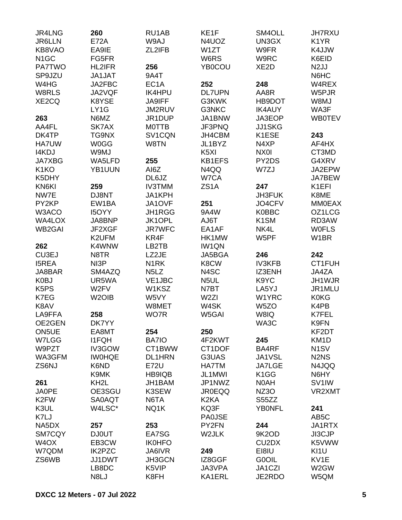| JR4LNG                        | 260                | RU1AB                         | KE <sub>1</sub> F | SM4OLL                         | <b>JH7RXU</b>                 |
|-------------------------------|--------------------|-------------------------------|-------------------|--------------------------------|-------------------------------|
| <b>JR6LLN</b>                 | <b>E72A</b>        | W9AJ                          | N4UOZ             | UN3GX                          | K <sub>1</sub> YR             |
| KB8VAO                        | EA9IE              | ZL2IFB                        | W <sub>1</sub> ZT | W9FR                           | K4JJW                         |
| N <sub>1</sub> GC             | FG5FR              |                               | W6RS              | W9RC                           | K6EID                         |
| <b>PA7TWO</b>                 | HL2IFR             | 256                           | <b>YB0COU</b>     | XE <sub>2</sub> D              | N <sub>2</sub> JJ             |
| SP9JZU                        | JA1JAT             | 9A4T                          |                   |                                | N6HC                          |
|                               |                    |                               |                   |                                |                               |
| W4HG                          | JA2FBC             | EC <sub>1</sub> A             | 252               | 248                            | W4REX                         |
| W8RLS                         | JA2VQF             | <b>IK4HPU</b>                 | <b>DL7UPN</b>     | AA8R                           | W5PJR                         |
| XE2CQ                         | K8YSE              | <b>JA9IFF</b>                 | G3KWK             | HB9DOT                         | W8MJ                          |
|                               | LY1G               | JM2RUV                        | G3NKC             | <b>IK4AUY</b>                  | WA3F                          |
| 263                           | N6MZ               | JR1DUP                        | JA1BNW            | JA3EOP                         | <b>WB0TEV</b>                 |
| AA4FL                         | SK7AX              | <b>MOTTB</b>                  | JF3PNQ            | <b>JJ1SKG</b>                  |                               |
| DK4TP                         | TG9NX              | SV1CQN                        | JH4CBM            | K1ESE                          | 243                           |
| <b>HA7UW</b>                  | <b>W0GG</b>        | W8TN                          | JL1BYZ            | N4XP                           | AF4HX                         |
| <b>I4KDJ</b>                  | W9MJ               |                               | K <sub>5</sub> XI | NX0I                           | CT3MD                         |
| <b>JA7XBG</b>                 | WA5LFD             | 255                           | <b>KB1EFS</b>     | PY2DS                          | G4XRV                         |
| K <sub>1</sub> KO             | YB1UUN             | AI6Z                          | N4QQ              | W7ZJ                           | JA2EPW                        |
| K5DHY                         |                    | DL6JZ                         | W7CA              |                                | JA7BEW                        |
| KN6KI                         | 259                | <b>IV3TMM</b>                 | ZS <sub>1</sub> A | 247                            | K <sub>1</sub> EFI            |
| NW7E                          | DJ8NT              | JA1KPH                        |                   | JH3FUK                         | K8ME                          |
| PY2KP                         | EW1BA              | JA1OVF                        | 251               | JO4CFV                         | <b>MM0EAX</b>                 |
| W3ACO                         | <b>I5OYY</b>       | JH1RGG                        | 9A4W              | <b>K0BBC</b>                   | OZ1LCG                        |
| WA4LOX                        | JA8BNP             | JK1OPL                        | AJ6T              | K <sub>1</sub> SM              | RD3AW                         |
| <b>WB2GAI</b>                 | JF2XGF             | <b>JR7WFC</b>                 | EA1AF             | NK4L                           | <b>WOFLS</b>                  |
|                               |                    |                               |                   |                                |                               |
|                               | K2UFM              | KR4F                          | HK1MW             | W5PF                           | W <sub>1</sub> BR             |
| 262                           | K4WNW              | LB2TB                         | <b>IW1QN</b>      |                                |                               |
| CU3EJ                         | N8TR               | LZ2JE                         | JA5BGA            | 246                            | 242                           |
| <b>I5REA</b>                  | NI3P               | N <sub>1</sub> RK             | K8CW              | <b>IV3KFB</b>                  | CT1FUH                        |
| JA8BAR                        | SM4AZQ             | N <sub>5</sub> L <sub>Z</sub> | N4SC              | IZ3ENH                         | JA4ZA                         |
| K0BJ                          | UR5WA              | VE1JBC                        | N <sub>5</sub> UL | K9YC                           | JH1WJR                        |
| K <sub>5</sub> P <sub>S</sub> | W <sub>2</sub> FV  | W1KSZ                         | N7BT              | LA5YJ                          | JR1MLU                        |
| K7EG                          | W <sub>2</sub> OIB | W5VY                          | W <sub>2ZI</sub>  | W1YRC                          | <b>K0KG</b>                   |
| K8AV                          |                    | W8MET                         | W4SK              | W <sub>5</sub> ZO              | K4PB                          |
| LA9FFA                        | 258                | WO7R                          | W5GAI             | W8IQ                           | K7FEL                         |
| OE2GEN                        | DK7YY              |                               |                   | WA3C                           | K9FN                          |
| ON5UE                         | EA8MT              | 254                           | 250               |                                | KF2DT                         |
| W7LGG                         | <b>I1FQH</b>       | <b>BA7IO</b>                  | 4F2KWT            | 245                            | KM <sub>1</sub> D             |
| W9PZT                         | IV3GOW             | CT1BWW                        | CT1DOF            | BA4RF                          | N <sub>1</sub> SV             |
| WA3GFM                        | <b>IWOHQE</b>      | <b>DL1HRN</b>                 | G3UAS             | JA1VSL                         | N <sub>2</sub> N <sub>S</sub> |
| ZS6NJ                         | K6ND               | <b>E72U</b>                   | <b>HA7TM</b>      | <b>JA7LGE</b>                  | N4JQQ                         |
|                               | K9MK               | HB9IQB                        | JL1MWI            | K <sub>1</sub> GG              | N6HY                          |
| 261                           | KH <sub>2</sub> L  | JH1BAM                        | JP1NWZ            | N0AH                           | SV <sub>1</sub> IW            |
| <b>JA0PE</b>                  | OE3SGU             | K3SEW                         | <b>JR0EQQ</b>     | NZ3O                           | VR2XMT                        |
|                               |                    | N6TA                          | K <sub>2</sub> KA |                                |                               |
| K <sub>2</sub> FW             | <b>SA0AQT</b>      |                               |                   | S55ZZ                          |                               |
| K3UL                          | W4LSC*             | NQ1K                          | KQ3F              | <b>YBONFL</b>                  | 241                           |
| K7LJ                          |                    |                               | <b>PA0JSE</b>     |                                | AB <sub>5</sub> C             |
| NA5DX                         | 257                | 253                           | PY2FN             | 244                            | JA1RTX                        |
| SM7CQY                        | <b>DJ0UT</b>       | EA7SG                         | W2JLK             | 9K2OD                          | <b>JI3CJP</b>                 |
| W <sub>4</sub> OX             | EB3CW              | <b>IK0HFO</b>                 |                   | CU <sub>2</sub> D <sub>X</sub> | K5VWW                         |
| W7QDM                         | <b>IK2PZC</b>      | JA6IVR                        | 249               | EI8IU                          | KI1U                          |
| ZS6WB                         | JJ1DWT             | JH3GCN                        | IZ8GGF            | G0OIL                          | KV1E                          |
|                               | LB8DC              | K5VIP                         | JA3VPA            | JA1CZI                         | W2GW                          |
|                               | N8LJ               | K8FH                          | KA1ERL            | JE2RDO                         | W5QM                          |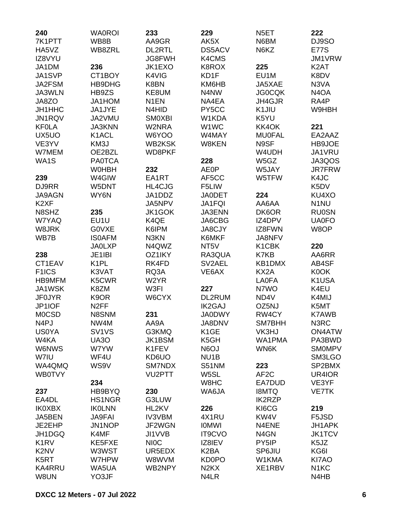| 240                           | <b>WA0ROI</b>      | 233               | 229                           | N <sub>5</sub> ET | 222               |
|-------------------------------|--------------------|-------------------|-------------------------------|-------------------|-------------------|
| 7K1PTT                        | WB8B               | AA9GR             | AK5X                          | N6BM              | DJ9SO             |
| HA5VZ                         | WB8ZRL             | <b>DL2RTL</b>     | <b>DS5ACV</b>                 | N6KZ              | <b>E77S</b>       |
| IZ8VYU                        |                    | JG8FWH            | K4CMS                         |                   | JM1VRW            |
| JA1DM                         | 236                | JK1EXO            | K8ROX                         | 225               | K <sub>2</sub> AT |
| JA1SVP                        | CT1BOY             | K4VIG             | KD1F                          | EU1M              | K8DV              |
| JA2FSM                        | HB9DHG             | K8BN              | KM6HB                         | JA5XAE            | N3VA              |
| JA3WLN                        | HB9ZS              | KE8UM             | N4NW                          | <b>JG0CQK</b>     | N <sub>4</sub> OA |
| JA8ZO                         | JA1HOM             | N <sub>1</sub> EN | NA4EA                         | JH4GJR            | RA4P              |
| JH1HHC                        | JA1JYE             | N4HID             | PY5CC                         | K1JIU             | W9HBH             |
| JN1RQV                        | JA2VMU             | <b>SMOXBI</b>     | W1KDA                         | K5YU              |                   |
| <b>KF0LA</b>                  | <b>JA3KNN</b>      | W2NRA             | W1WC                          | KK4OK             | 221               |
| UX5UO                         | K <sub>1</sub> ACL | W6YOO             | W4MAY                         | <b>MU0FAL</b>     | EA2AAZ            |
| VE3YV                         | KM3J               | <b>WB2KSK</b>     | W8KEN                         | N9SF              | HB9JOE            |
| W7MEM                         | OE2BZL             | WD8PKF            |                               | W4UDH             | JA1VRU            |
| WA1S                          | <b>PA0TCA</b>      |                   | 228                           | W5GZ              | JA3QOS            |
|                               | <b>WOHBH</b>       | 232               | <b>AE0P</b>                   | W5JAY             | <b>JR7FRW</b>     |
| 239                           | W4GIW              | EA1RT             | AF5CC                         | W5TFW             | K4JC              |
| DJ9RR                         | W5DNT              | HL4CJG            | F5LIW                         |                   | K <sub>5</sub> DV |
| <b>JA9AGN</b>                 | WY6N               | JA1DDZ            | <b>JA0DET</b>                 | 224               | KU4XO             |
| K <sub>2</sub> XF             |                    | JA5NPV            | <b>JA1FQI</b>                 | AA6AA             | N <sub>1</sub> NU |
| N8SHZ                         | 235                | <b>JK1GOK</b>     | <b>JA3ENN</b>                 | DK6OR             | <b>RU0SN</b>      |
| W7YAQ                         | EU1U               | K4QE              | JA6CBG                        | IZ4DPV            | <b>UA0FO</b>      |
| W8JRK                         | <b>GOVXE</b>       | K6IPM             | <b>JA8CJY</b>                 | IZ8FWN            | W8OP              |
| WB7B                          | <b>ISOAFM</b>      | N3KN              | K6MKF                         | JA8NFV            |                   |
|                               | <b>JA0LXP</b>      | N4QWZ             | NT <sub>5</sub> V             | K1CBK             | 220               |
| 238                           | JE1IBI             | OZ1IKY            | RA3QUA                        | K7KB              | AA6RR             |
| CT1EAV                        | K <sub>1</sub> PL  | RK4FD             |                               |                   |                   |
|                               |                    |                   | SV2AEL                        | KB1DMX            | AB4SF             |
| F <sub>1</sub> ICS            | K3VAT              | RQ3A              | VE6AX                         | KX2A              | K0OK              |
| <b>HB9MFM</b>                 | K5CWR              | W2YR              |                               | <b>LA0FA</b>      | K1USA             |
| JA1WSK                        | K8ZM               | W3FI              | 227                           | N7WO              | K4EU              |
| <b>JF0JYR</b>                 | K <sub>9</sub> OR  | W6CYX             | DL2RUM                        | ND4V              | K4MIJ             |
| JP1IOF                        | N <sub>2</sub> FF  |                   | <b>IK2GAJ</b>                 | OZ5NJ             | K5MT              |
| <b>MOCSD</b>                  | N8SNM              | 231               | <b>JA0DWY</b>                 | RW4CY             | <b>K7AWB</b>      |
| N <sub>4</sub> PJ             | NW4M               | AA9A              | JA8DNV                        | SM7BHH            | N3RC              |
| <b>US0YA</b>                  | SV <sub>1VS</sub>  | G3KMQ             | K <sub>1</sub> GE             | VK3HJ             | ON4ATW            |
| W4KA                          | UA3O               | <b>JK1BSM</b>     | K5GH                          | WA1PMA            | PA3BWD            |
| W6NWS                         | W7YW               | K1FEV             | N6OJ                          | WN6K              | <b>SMOMPV</b>     |
| W7IU                          | WF4U               | KD6UO             | NU <sub>1</sub> B             |                   | SM3LGO            |
| WA4QMQ                        | WS9V               | SM7NDX            | S51NM                         | 223               | SP2BMX            |
| <b>WB0TVY</b>                 |                    | VU2PTT            | W5SL                          | AF <sub>2</sub> C | UR4IOR            |
|                               | 234                |                   | W8HC                          | EA7DUD            | VE3YF             |
| 237                           | HB9BYQ             | 230               | WA6JA                         | <b>I8MTQ</b>      | <b>VE7TK</b>      |
| EA4DL                         | HS1NGR             | G3LUW             |                               | <b>IK2RZP</b>     |                   |
| <b>IK0XBX</b>                 | <b>IKOLNN</b>      | HL2KV             | 226                           | KI6CG             | 219               |
| JA5BEN                        | <b>JA9FAI</b>      | <b>IV3VBM</b>     | 4X1RU                         | KW4V              | F5JSD             |
| JE2EHP                        | JN1NOP             | JF2WGN            | <b>IOMWI</b>                  | N4ENE             | JH1APK            |
| JH1DGQ                        | K4MF               | JI1VVB            | <b>IT9CVO</b>                 | N <sub>4</sub> GN | <b>JK1TCV</b>     |
| K <sub>1</sub> RV             | KE5FXE             | <b>NIOC</b>       | IZ8IEV                        | PY5IP             | K5JZ              |
| K <sub>2</sub> N <sub>V</sub> | W3WST              | UR5EDX            | K <sub>2</sub> BA             | SP6JIU            | KG6I              |
| K <sub>5</sub> RT             | W7HPW              | W8WVM             | <b>KD0PO</b>                  | W1KMA             | KI7AO             |
| <b>KA4RRU</b>                 | WA5UA              | WB2NPY            | N <sub>2</sub> K <sub>X</sub> | XE1RBV            | N <sub>1</sub> KC |
| W8UN                          | YO3JF              |                   | N4LR                          |                   | N4HB              |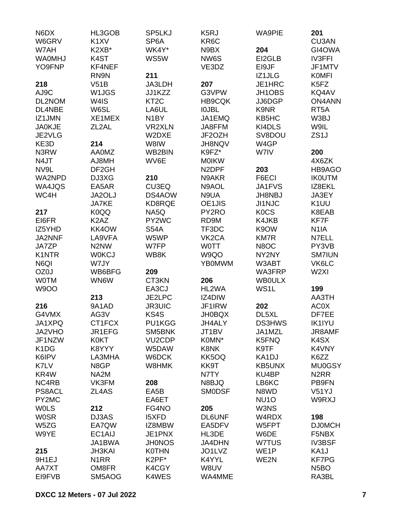| N6DX                          | HL3GOB                        | SP5LKJ            | K <sub>5</sub> RJ  | <b>WA9PIE</b>     | 201                           |
|-------------------------------|-------------------------------|-------------------|--------------------|-------------------|-------------------------------|
| W6GRV                         | K <sub>1</sub> XV             | SP <sub>6</sub> A | KR <sub>6</sub> C  |                   | <b>CU3AN</b>                  |
| W7AH                          | K2XB*                         | WK4Y*             | N9BX               | 204               | GI4OWA                        |
| <b>WAOMHJ</b>                 | K4ST                          | WS5W              | NW6S               | EI2GLB            | <b>IV3FFI</b>                 |
| YO9FNP                        | KF4NEF                        |                   | VE3DZ              | EI9JF             | JF1MTV                        |
|                               | RN9N                          | 211               |                    | IZ1JLG            | <b>KOMFI</b>                  |
| 218                           | V51B                          | JA3LDH            | 207                | JE1HRC            | K <sub>5</sub> F <sub>Z</sub> |
| AJ9C                          | W1JGS                         | JJ1KZZ            | G3VPW              | JH1OBS            | KQ4AV                         |
| DL2NOM                        | W <sub>4</sub> IS             | KT <sub>2</sub> C | <b>HB9CQK</b>      | JJ6DGP            | <b>ON4ANN</b>                 |
| DL4NBE                        | W6SL                          | LA6UL             | <b>IOJBL</b>       | K9NR              | RT <sub>5</sub> A             |
| IZ1JMN                        | XE1MEX                        | N <sub>1</sub> BY | JA1EMQ             | KB5HC             | W3BJ                          |
| <b>JA0KJE</b>                 | ZL <sub>2</sub> AL            | <b>VR2XLN</b>     | JA8FFM             | KI4DLS            | W9IL                          |
| JE2VLG                        |                               | W2DXE             | JF2OZH             | SV8DOU            | ZS <sub>1</sub> J             |
| KE3D                          | 214                           | W8IW              | JH8NQV             | W4GP              |                               |
| N3RW                          | <b>AA0MZ</b>                  | WB2BIN            | K9FZ*              | W7IV              | 200                           |
| N4JT                          | AJ8MH                         | WV6E              | <b>MOIKW</b>       |                   | 4X6ZK                         |
| NV9L                          | DF <sub>2GH</sub>             |                   | N <sub>2</sub> DPF | 203               | HB9AGO                        |
| WA2NPD                        | DJ3XG                         | 210               | N9AKR              | F6ECI             | <b>IKOUTM</b>                 |
| WA4JQS                        | EA5AR                         | CU3EQ             | N9AOL              | JA1FVS            | IZ8EKL                        |
| WC4H                          | JA2OLJ                        | DS4AOW            | N9UA               | <b>JH8NBJ</b>     | JA3EY                         |
|                               | <b>JA7KE</b>                  | KD8RQE            | OE1JIS             | <b>JI1NJC</b>     | K <sub>1</sub> UU             |
| 217                           | K0QQ                          | NA5Q              | PY2RO              | <b>KOCS</b>       | K8EAB                         |
| EI6FR                         | K <sub>2</sub> A <sub>Z</sub> | PY2WC             | RD9M               | K4JKB             | KF7F                          |
| IZ5YHD                        | KK4OW                         | <b>S54A</b>       | TF3DC              | K9OW              | N <sub>1</sub> IA             |
| JA2NNF                        | LA9VFA                        | W5WP              | VK <sub>2</sub> CA | <b>KM7R</b>       | N7ELL                         |
| JA7ZP                         | N <sub>2</sub> N <sub>W</sub> | W7FP              | <b>WOTT</b>        | N8OC              | PY3VB                         |
| K1NTR                         | <b>WOKCJ</b>                  | WB8K              | W9QO               | NY2NY             | <b>SM7IUN</b>                 |
| N6QI                          | W7JY                          |                   | <b>YB0MWM</b>      | W3ABT             | VK6LC                         |
| OZ0J                          | WB6BFG                        | 209               |                    | WA3FRP            | W <sub>2XI</sub>              |
| <b>WOTM</b>                   | WN6W                          | CT3KN             | 206                | <b>WBOULX</b>     |                               |
| <b>W9OO</b>                   |                               | EA3CJ             | HL2WA              | WS1L              | 199                           |
|                               | 213                           | JE2LPC            | IZ4DIW             |                   | AA3TH                         |
| 216                           | 9A1AD                         | <b>JR3UIC</b>     | JF1IRW             | 202               | <b>AC0X</b>                   |
| G4VMX                         | AG3V                          | KS4S              | <b>JH0BQX</b>      | DL5XL             | DF7EE                         |
|                               |                               | PU1KGG            |                    |                   |                               |
| JA1XPQ                        | CT1FCX                        |                   | JH4ALY             | <b>DS3HWS</b>     | <b>IK1IYU</b>                 |
| JA2VHO                        | JR1EFG                        | SM5BNK            | JT1BV<br>K0MN*     | JA1MZL            | JR8AMF                        |
| JF1NZW                        | <b>K0KT</b>                   | <b>VU2CDP</b>     |                    | K5FNQ             | K4SX                          |
| K <sub>1</sub> D <sub>G</sub> | K8YYY                         | W5DAW             | K8NK               | K9TF              | K4VNY                         |
| K6IPV                         | LA3MHA                        | W6DCK             | KK5OQ              | KA1DJ             | K6ZZ                          |
| K7LV                          | N8GP                          | W8HMK             | KK9T               | <b>KB5UNX</b>     | <b>MU0GSY</b>                 |
| KR4W                          | NA2M                          |                   | N7TY               | KU4BP             | N <sub>2</sub> RR             |
| NC4RB                         | VK3FM                         | 208               | N8BJQ              | LB6KC             | PB9FN                         |
| PS8ACL                        | ZL4AS                         | EA <sub>5</sub> B | <b>SMODSF</b>      | N8WD              | V51YJ                         |
| PY2MC                         |                               | EA6ET             |                    | <b>NU10</b>       | W9RXJ                         |
| <b>WOLS</b>                   | 212                           | FG4NO             | 205                | W3NS              |                               |
| <b>WOSR</b>                   | DJ3AS                         | <b>I5XFD</b>      | <b>DL6UNF</b>      | W4RDX             | 198                           |
| W5ZG                          | EA7QW                         | IZ8MBW            | EA5DFV             | W5FPT             | <b>DJ0MCH</b>                 |
| W9YE                          | EC1AIJ                        | JE1PNX            | HL3DE              | W6DE              | F5NBX                         |
|                               | JA1BWA                        | <b>JH0NOS</b>     | <b>JA4DHN</b>      | W7TUS             | <b>IV3BSF</b>                 |
| 215                           | <b>JH3KAI</b>                 | <b>K0THN</b>      | JO1LVZ             | WE <sub>1</sub> P | KA1J                          |
| 9H1EJ                         | N <sub>1</sub> RR             | K2PF*             | K4YYL              | WE2N              | <b>KF7PG</b>                  |
| AA7XT                         | OM8FR                         | K4CGY             | W8UV               |                   | N <sub>5</sub> BO             |
| EI9FVB                        | SM5AOG                        | K4WES             | WA4MME             |                   | RA3BL                         |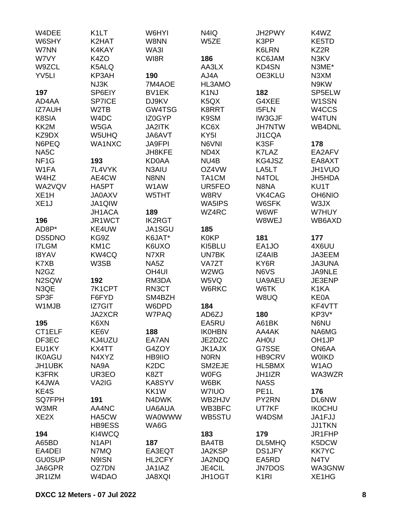| W4DEE                         | K <sub>1</sub> LT  | W6HYI                         | N4IQ                          | JH2PWY            | K4WZ              |
|-------------------------------|--------------------|-------------------------------|-------------------------------|-------------------|-------------------|
| W6SHY                         | K2HAT              | W8NN                          | W5ZE                          | K3PP              | KE5TD             |
| W7NN                          | K4KAY              | WA3I                          |                               | K6LRN             | KZ2R              |
| W7VY                          | K4ZO               | WI8R                          | 186                           | KC6JAM            | N3KV              |
| W9ZCL                         | K5ALQ              |                               | AA3LX                         | KD4SN             | N3ME*             |
| YV <sub>5LI</sub>             | KP3AH              | 190                           | AJ4A                          | OE3KLU            | N3XM              |
|                               | NJ3K               | 7M4AOE                        | HL3AMO                        |                   | N9KW              |
| 197                           | SP6EIY             | BV1EK                         | K <sub>1</sub> NJ             | 182               | SP5ELW            |
| AD4AA                         | SP7ICE             | DJ9KV                         | K <sub>5</sub> Q <sub>X</sub> | G4XEE             | W1SSN             |
| <b>IZ7AUH</b>                 | W2TB               | GW4TSG                        | K8RRT                         | <b>I5FLN</b>      | W4CCS             |
| K8SIA                         | W <sub>4</sub> DC  | IZ0GYP                        | K9SM                          | IW3GJF            | W4TUN             |
| KK2M                          | W5GA               | <b>JA2ITK</b>                 | KC6X                          | <b>JH7NTW</b>     | WB4DNL            |
| KZ9DX                         | W5UHQ              | JA6AVT                        | KY <sub>5</sub> I             | JI1CQA            |                   |
| N6PEQ                         | WA1NXC             | <b>JA9FPI</b>                 | N6VNI                         | K3SF              | 178               |
| NA <sub>5</sub> C             |                    | JH8KFE                        | ND4X                          | K7LAZ             | EA2AFV            |
| NF <sub>1</sub> G             | 193                | <b>KD0AA</b>                  | NU <sub>4</sub> B             | KG4JSZ            | EA8AXT            |
| W1FA                          | 7L4VYK             | N3AIU                         | OZ4VW                         | LA5LT             | JH1VUO            |
| W4HZ                          | AE4CW              | N8NN                          | TA1CM                         | N4TOL             | JH5HDA            |
| WA2VQV                        | HA5PT              | W1AW                          | UR5FEO                        | N8NA              | KU1T              |
| XE <sub>1</sub> H             | <b>JA0AXV</b>      | W5THT                         | W8RV                          | VK4CAG            | <b>OH6NIO</b>     |
| XE <sub>1</sub> J             | JA1QIW             |                               | WA5IPS                        | W6SFK             | W3JX              |
|                               | JH1ACA             | 189                           | WZ4RC                         | W6WF              | W7HUY             |
| 196                           | JR1WCT             | <b>IK2RGT</b>                 |                               | W8WEJ             | WB6AXD            |
| AD8P*                         | KE4UW              | JA1SGU                        | 185                           |                   |                   |
| DS5DNO                        | KG9Z               | K6JAT*                        | <b>K0KP</b>                   | 181               | 177               |
| I7LGM                         | KM <sub>1</sub> C  | K6UXO                         | KI5BLU                        | EA1JO             | 4X6UU             |
| <b>I8YAV</b>                  | KW4CQ              | N7XR                          | UN7BK                         | IZ4AIB            | JA3EEM            |
| K7XB                          | W3SB               | NA5Z                          | VA7ZT                         | KY6R              | <b>JA3UNA</b>     |
| N <sub>2</sub> G <sub>Z</sub> |                    | OH <sub>4UI</sub>             | W2WG                          | N6VS              | JA9NLE            |
| N2SQW                         | 192                | RM3DA                         | W5VQ                          | UA9AEU            | JE3ENP            |
| N3QE                          | 7K1CPT             | RN3CT                         | W6RKC                         | W6TK              | K1KA              |
| SP3F                          | F6FYD              | SM4BZH                        |                               | W8UQ              | <b>KE0A</b>       |
| W1MJB                         | IZ7GIT             | W6DPD                         | 184                           |                   | KF4VTT            |
|                               | <b>JA2XCR</b>      | W7PAQ                         | AD6ZJ                         | 180               | KP3V*             |
| 195                           | K6XN               |                               | EA5RU                         | A61BK             | N6NU              |
| CT1ELF                        | KE6V               | 188                           | <b>IK0HBN</b>                 | AA4AK             | NA6MG             |
| DF3EC                         | KJ4UZU             | EA7AN                         | JE2DZC                        | AH <sub>0</sub> U | OH <sub>1JP</sub> |
| EU1KY                         | KX4TT              | G4ZOY                         | <b>JK1AJX</b>                 | G7SSE             | ON6AA             |
| <b>IK0AGU</b>                 | N4XYZ              | <b>HB9IIO</b>                 | <b>NORN</b>                   | HB9CRV            | <b>WOIKD</b>      |
| JH1UBK                        | NA9A               | K <sub>2</sub> D <sub>C</sub> | SM2EJE                        | HL5BMX            | W <sub>1</sub> AO |
| K3FRK                         | UR3EO              | K8ZT                          |                               | JH1IZR            | WA3WZR            |
| K4JWA                         | VA2IG              | KA8SYV                        | <b>WOFG</b><br>W6BK           | NA5S              |                   |
| KE4S                          |                    | KK1W                          | W7IUO                         | PE <sub>1</sub> L | 176               |
| <b>SQ7FPH</b>                 |                    | N4DWK                         |                               | PY2RN             |                   |
|                               | 191<br>AA4NC       |                               | WB2HJV                        |                   | <b>DL6NW</b>      |
| W3MR                          |                    | UA6AUA                        | WB3BFC                        | UT7KF             | <b>IK0CHU</b>     |
| XE <sub>2</sub> X             | HA5CW              | <b>WA0WWW</b>                 | WB5STU                        | W4DSM             | JA1FJJ            |
|                               | <b>HB9ESS</b>      | WA6G                          |                               |                   | <b>JJ1TKN</b>     |
| 194                           | KI4WCQ             |                               | 183                           | 179               | JR1FHP            |
| A65BD                         | N <sub>1</sub> API | 187                           | BA4TB                         | DL5MHQ            | K5DCW             |
| EA4DEI                        | N7MQ               | EA3EQT                        | JA2KSP                        | <b>DS1JFY</b>     | <b>KK7YC</b>      |
| <b>GU0SUP</b>                 | N9ISN              | HL2CFY                        | JA2NDQ                        | EA5RD             | N <sub>4</sub> TV |
| JA6GPR                        | OZ7DN              | JA1IAZ                        | JE4CIL                        | <b>JN7DOS</b>     | WA3GNW            |
| JR1IZM                        | W4DAO              | JA8XQI                        | JH1OGT                        | K <sub>1</sub> RI | XE1HG             |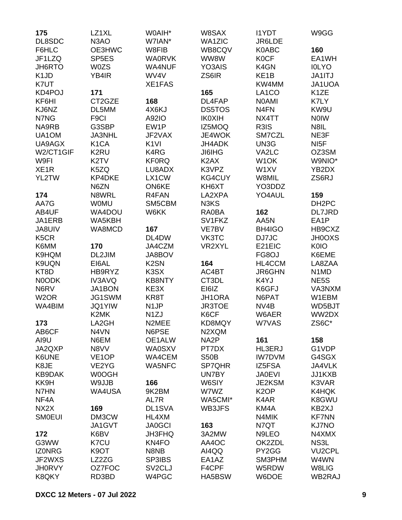| 175                           | LZ1XL              | W0AIH*              | W8SAX             | <b>I1YDT</b>      | W9GG                          |
|-------------------------------|--------------------|---------------------|-------------------|-------------------|-------------------------------|
| DL8SDC                        | N <sub>3</sub> AO  | W7IAN*              | <b>WA1ZIC</b>     | JR6LDE            |                               |
| F6HLC                         | OE3HWC             | W8FIB               | WB8CQV            | <b>K0ABC</b>      | 160                           |
| JF1LZQ                        | SP <sub>5ES</sub>  | <b>WA0RVK</b>       | WW8W              | <b>K0CF</b>       | EA1WH                         |
| JH6RTO                        | <b>W0ZS</b>        | <b>WA4NUF</b>       | YO3AIS            | K4GN              | <b>IOLYO</b>                  |
| K <sub>1</sub> J <sub>D</sub> | YB4IR              | WV4V                | ZS6IR             | KE <sub>1</sub> B | JA1ITJ                        |
| K7UT                          |                    | <b>XE1FAS</b>       |                   | KW4MM             | JA1UOA                        |
| KD4POJ                        | 171                |                     | 165               | LA1CO             | K <sub>1</sub> ZE             |
| KF6HI                         | CT2GZE             | 168                 | DL4FAP            | <b>NOAMI</b>      | K7LY                          |
| KJ6NZ                         | DL5MM              | 4X6KJ               | <b>DS5TOS</b>     | N <sub>4FN</sub>  | KW9U                          |
| N7NG                          | F <sub>9</sub> Cl  | A92IO               | <b>IK0XIH</b>     | NX4TT             | <b>NOIW</b>                   |
| NA9RB                         | G3SBP              | EW1P                | IZ5MOQ            | R3IS              | N8IL                          |
| UA1OM                         | <b>JA3NHL</b>      | JF2VAX              | JE4WOK            | SM7CZL            | NE3F                          |
| UA9AGX                        | K <sub>1</sub> CA  | K <sub>1VI</sub>    | <b>JH4ADK</b>     | UN3G              | NI <sub>5</sub> F             |
| W2/CT1GIF                     | K2RU               | K4RG                | <b>JI6IHG</b>     | VA2LC             | OZ3SM                         |
| W9FI                          | K <sub>2</sub> TV  | <b>KF0RQ</b>        | K <sub>2</sub> AX | W <sub>1</sub> OK | W9NIO*                        |
| XE <sub>1</sub> R             | K5ZQ               | LU8ADX              | K3VPZ             | W1XV              | YB2DX                         |
| YL2TW                         | KP4DKE             | LX1CW               | KG4CUY            | W8MIL             | ZS6RJ                         |
|                               | N6ZN               | ON6KE               | KH6XT             | YO3DDZ            |                               |
|                               | N8WRL              |                     |                   | YO4AUL            |                               |
| 174                           |                    | R4FAN               | LA2XPA            |                   | 159                           |
| AA7G                          | <b>WOMU</b>        | SM5CBM              | N3KS              |                   | DH <sub>2</sub> PC            |
| AB4UF                         | WA4DOU             | W6KK                | RA0BA             | 162               | <b>DL7JRD</b>                 |
| JA1ERB                        | WA5KBH             |                     | SV1FKZ            | AA5N              | EA1P                          |
| <b>JA8UIV</b>                 | WA8MCD             | 167                 | VE7BV             | BH4IGO            | HB9CXZ                        |
| K <sub>5</sub> C <sub>R</sub> |                    | DL4DW               | VK3TC             | DJ7JC             | <b>JH0OXS</b>                 |
| K6MM                          | 170                | JA4CZM              | VR2XYL            | E21EIC            | <b>K0IO</b>                   |
| K9HQM                         | DL2JIM             | JA8BOV              |                   | FG8OJ             | K6EME                         |
| K9UQN                         | EI6AL              | K <sub>2</sub> SN   | 164               | HL4CCM            | LA8ZAA                        |
| KT8D                          | HB9RYZ             | K3SX                | AC4BT             | <b>JR6GHN</b>     | N <sub>1</sub> M <sub>D</sub> |
| N0ODK                         | <b>IV3AVQ</b>      | <b>KB8NTY</b>       | CT3DL             | K4YJ              | NE <sub>5</sub> S             |
| N6RV                          | JA1BON             | KE3X                | EI6IZ             | K6GFJ             | VA3NXM                        |
| W <sub>2</sub> OR             | JG1SWM             | KR8T                | <b>JH1ORA</b>     | N6PAT             | W1EBM                         |
| WA4BIM                        | <b>JQ1YIW</b>      | N <sub>1</sub> JP   | <b>JR3TOE</b>     | NV <sub>4</sub> B | WD5BJT                        |
|                               | K2MK               | N <sub>1</sub> ZJ   | K6CF              | W6AER             | WW2DX                         |
| 173                           | LA2GH              | N2MEE               | KD8MQY            | W7VAS             | ZS6C*                         |
| AB6CF                         | N4VN               | N6PSE               | N2XQM             |                   |                               |
| AI9U                          | N6EM               | OE1ALW              | NA <sub>2</sub> P | 161               | 158                           |
| JA2QXP                        | N8VV               | <b>WA0SXV</b>       | PT7DX             | <b>HL3ERJ</b>     | G1VDP                         |
| K6UNE                         | VE <sub>1</sub> OP | WA4CEM              | <b>S50B</b>       | <b>IW7DVM</b>     | G4SGX                         |
| K8JE                          | VE2YG              | <b>WA5NFC</b>       | SP7QHR            | IZ5FSA            | JA4VLK                        |
| KB9DAK                        | W0OGH              |                     | UN7BY             | <b>JA0EVI</b>     | JJ1KXB                        |
| KK9H                          | W9JJB              | 166                 | W6SIY             | JE2KSM            | K3VAR                         |
| N7HN                          | <b>WA4USA</b>      | 9K2BM               | W7WZ              | K <sub>2</sub> OP | K4HQK                         |
| NF4A                          |                    | AL7R                | WA5CMI*           | K4AR              | K8GWU                         |
| NX <sub>2</sub> X             | 169                | DL1SVA              | WB3JFS            | KM4A              | KB2XJ                         |
| <b>SMOEUI</b>                 | DM3CW              | HL4XM               |                   | N4MIK             | <b>KF7NN</b>                  |
|                               | JA1GVT             | <b>JA0GCI</b>       | 163               | N7QT              | <b>KJ7NO</b>                  |
| 172                           | K6BV               | JH3FHQ              | 3A2MW             | N9LEO             | N4XMX                         |
| G3WW                          | K7CU               | KN4FO               | AA4OC             | OK2ZDL            | NS3L                          |
| <b>IZONRG</b>                 | K9OT               | N8NB                | AI4QQ             | PY2GG             | <b>VU2CPL</b>                 |
| JF2WXS                        | LZ2ZG              | SP3IBS              | EA1AZ             | SM3PHM            | W4WN                          |
| <b>JH0RVY</b>                 | OZ7FOC             | SV <sub>2</sub> CLJ | F4CPF             | W5RDW             | W8LIG                         |
| K8QKY                         | RD3BD              | W4PGC               | HA5BSW            | W6DOE             | WB2RAJ                        |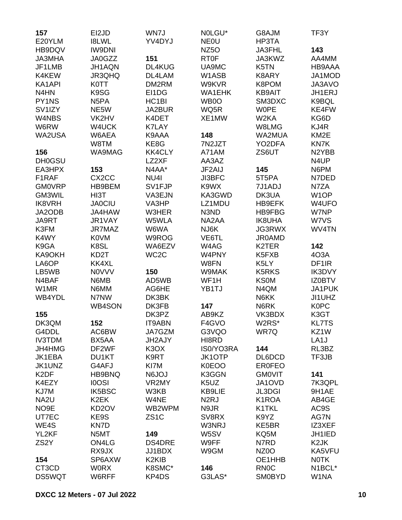| 157                 | EI2JD              | WN7J                          | NOLGU*            | G8AJM              | TF3Y               |
|---------------------|--------------------|-------------------------------|-------------------|--------------------|--------------------|
| E20YLM              | <b>I8LWL</b>       | YV4DYJ                        | <b>NEOU</b>       | HP3TA              |                    |
| HB9DQV              | <b>IW9DNI</b>      |                               | NZ <sub>50</sub>  | JA3FHL             | 143                |
| <b>JA3MHA</b>       | JA0GZZ             | 151                           | <b>RT0F</b>       | JA3KWZ             | AA4MM              |
| JF1LMB              | JH1AQN             | DL4KUG                        | UA9MC             | K5TN               | HB9AAA             |
| K4KEW               | JR3QHQ             | DL4LAM                        | W1ASB             | K8ARY              | JA1MOD             |
| KA1API              | <b>K0TT</b>        | DM2RM                         | W9KVR             | K8POM              | JA3AVO             |
| N <sub>4</sub> HN   | K9SG               | EI1DG                         | <b>WA1EHK</b>     | <b>KB9AIT</b>      | JH1ERJ             |
| PY1NS               | N <sub>5</sub> PA  | HC <sub>1</sub> BI            | WB0O              | SM3DXC             | K9BQL              |
| SV <sub>1</sub> IZY | NE5W               | JA2BUR                        | WQ5R              | <b>WOPE</b>        | KE4FW              |
| W4NBS               | VK2HV              | K4DET                         | XE1MW             | W <sub>2</sub> KA  | KG6D               |
| W6RW                | W4UCK              | <b>K7LAY</b>                  |                   | W8LMG              | KJ4R               |
| WA2USA              | W6AEA              | K9AAA                         | 148               | WA2MUA             | KM <sub>2</sub> E  |
|                     | W8TM               | KE8G                          | 7N2JZT            | YO2DFA             | KN7K               |
| 156                 | WA9MAG             | <b>KK4CLY</b>                 | A71AM             | ZS6UT              | N <sub>2</sub> YBB |
| <b>DH0GSU</b>       |                    | LZ2XF                         | AA3AZ             |                    | N4UP               |
| EA3HPX              | 153                | N4AA*                         | JF2AIJ            | 145                | N6PM               |
| F1RAF               | CX <sub>2</sub> CC | NU <sub>4</sub>               | <b>JI3BFC</b>     | 5T5PA              | N7DED              |
| <b>GM0VRP</b>       | HB9BEM             | SV1FJP                        | K9WX              | 7J1ADJ             | N7ZA               |
| GM3WIL              | HI3T               | VA3EJN                        | KA3GWD            | DK3UA              | W <sub>1</sub> OP  |
| <b>IK8VRH</b>       | <b>JA0CIU</b>      | VA3HP                         | LZ1MDU            | HB9EFK             | W4UFO              |
| JA2ODB              | JA4HAW             | W3HER                         | N3ND              |                    | W7NP               |
|                     |                    |                               |                   | <b>HB9FBG</b>      |                    |
| JA9RT               | JR1VAY             | W5WLA                         | NA2AA             | <b>IK8UHA</b>      | W7VS               |
| K3FM                | JR7MAZ             | W6WA                          | NJ6K              | <b>JG3RWX</b>      | WV4TN              |
| K4WY                | <b>K0VM</b>        | W9ROG                         | VE6TL             | <b>JR0AMD</b>      |                    |
| K9GA                | K8SL               | WA6EZV                        | W4AG              | K2TER              | 142                |
| KA9OKH              | KD <sub>2</sub> T  | WC <sub>2</sub> C             | W4PNY             | K5FXB              | 4O3A               |
| LA6OP               | KK4XL              |                               | W8FN              | K5LY               | DF <sub>1</sub> IR |
| LB5WB               | <b>NOVVV</b>       | 150                           | W9MAK             | <b>K5RKS</b>       | IK3DVY             |
| N4BAF               | N6MB               | AD5WB                         | WF1H              | <b>KS0M</b>        | <b>IZ0BTV</b>      |
| W1MR                | N6MM               | AG6HE                         | YB1TJ             | N4QM               | JA1PUK             |
| WB4YDL              | N7NW               | DK3BK                         |                   | N6KK               | JI1UHZ             |
|                     | <b>WB4SON</b>      | DK3FB                         | 147               | N6RK               | <b>K0PC</b>        |
| 155                 |                    | DK3PZ                         | AB9KZ             | VK3BDX             | K3GT               |
| DK3QM               | 152                | IT9ABN                        | F4GVO             | W2RS*              | <b>KL7TS</b>       |
| G4DDL               | AC6BW              | JA7GZM                        | G3VQO             | WR7Q               | KZ1W               |
| <b>IV3TDM</b>       | BX5AA              | JH2AJY                        | HI8RD             |                    | LA <sub>1</sub> J  |
| JH4HMG              | DF2WF              | K <sub>3</sub> O <sub>X</sub> | IS0/YO3RA         | 144                | RL3BZ              |
| JK1EBA              | DU1KT              | K9RT                          | <b>JK1OTP</b>     | DL6DCD             | TF3JB              |
| JK1UNZ              | G4AFJ              | KI7M                          | <b>K0EOO</b>      | <b>ER0FEO</b>      |                    |
| K <sub>2</sub> DF   | HB9BNQ             | <b>N6JOJ</b>                  | K3GGN             | <b>GMOVIT</b>      | 141                |
| K4EZY               | <b>IOOSI</b>       | VR2MY                         | K5UZ              | JA1OVD             | 7K3QPL             |
| KJ7M                | IK5BSC             | W3KB                          | <b>KB9LIE</b>     | <b>JL3DGI</b>      | 9H1AE              |
| NA <sub>2U</sub>    | K <sub>2</sub> EK  | W4NE                          | N <sub>2</sub> RJ | K <sub>1</sub> ROA | AB4GE              |
| NO <sub>9E</sub>    | KD <sub>2</sub> OV | WB2WPM                        | N9JR              | K1TKL              | AC9S               |
| UT7EC               | KE9S               | ZS <sub>1</sub> C             | SV8RX             | K9YZ               | AG7N               |
| WE4S                | KN7D               |                               | W3NRJ             | KE5BR              | IZ3XEF             |
| YL2KF               | N5MT               | 149                           | W5SV              | KQ5M               | JH1IED             |
| ZS <sub>2</sub> Y   | ON4LG              | <b>DS4DRE</b>                 | W9FF              | N7RD               | K <sub>2</sub> JK  |
|                     | RX9JX              | JJ1BDX                        | W9GM              | NZ <sub>0</sub> O  | KA5VFU             |
| 154                 | SP6AXW             | K2KIB                         |                   | OE1HHB             | <b>NOTK</b>        |
| CT3CD               | <b>WORX</b>        | K8SMC*                        | 146               | <b>RN0C</b>        | N1BCL*             |
| <b>DS5WQT</b>       | W6RFF              | KP4DS                         | G3LAS*            | <b>SM0BYD</b>      | W1NA               |
|                     |                    |                               |                   |                    |                    |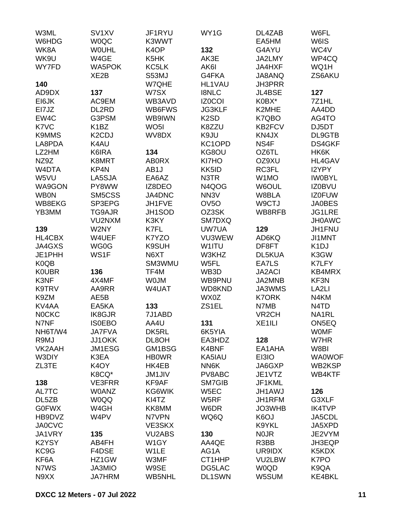| W3ML              | SV <sub>1</sub> XV              | JF1RYU            | WY1G              | DL4ZAB             | W6FL              |
|-------------------|---------------------------------|-------------------|-------------------|--------------------|-------------------|
| W6HDG             | <b>WOQC</b>                     | K3WWT             |                   | EA5HM              | W6IS              |
| WK8A              | <b>WOUHL</b>                    | K <sub>4</sub> OP | 132               | G4AYU              | WC4V              |
| WK9U              | W4GE                            | K5HK              | AK3E              | JA2LMY             | WP4CQ             |
| WY7FD             | <b>WA5POK</b>                   | KC5LK             | AK6I              | JA4HXF             | WQ1H              |
|                   | XE <sub>2</sub> B               | S53MJ             | G4FKA             | JA8ANQ             | ZS6AKU            |
| 140               |                                 | W7QHE             | HL1VAU            | <b>JH3PRR</b>      |                   |
| AD9DX             | 137                             | W7SX              | <b>I8NLC</b>      | <b>JL4BSE</b>      | 127               |
|                   |                                 |                   | <b>IZ0COI</b>     | K0BX*              | 7Z1HL             |
| EI6JK             | AC9EM                           | WB3AVD            |                   |                    |                   |
| EI7JZ             | DL2RD                           | WB6FWS            | <b>JG3KLF</b>     | K2MHE              | AA4DD             |
| EW4C              | G3PSM                           | WB9IWN            | K <sub>2</sub> SD | K7QBO              | AG4TO             |
| K7VC              | K <sub>1</sub> BZ               | WO <sub>5</sub> I | K8ZZU             | KB2FCV             | DJ5DT             |
| <b>K9MMS</b>      | K <sub>2</sub> C <sub>D</sub> J | WV8DX             | K9JU              | KN4JX              | DL9GTB            |
| LA8PDA            | K4AU                            |                   | KC1OPD            | NS4F               | <b>DS4GKF</b>     |
| LZ2HM             | K6IRA                           | 134               | KG8OU             | OZ6TL              | HK6K              |
| NZ9Z              | K8MRT                           | <b>AB0RX</b>      | KI7HO             | OZ9XU              | <b>HL4GAV</b>     |
| W4DTA             | KP4N                            | AB1J              | KK5ID             | RC3FL              | I2YPY             |
| W5VU              | LA5SJA                          | EA6AZ             | N3TR              | W1MO               | <b>IWOBYL</b>     |
| WA9GON            | PY8WW                           | IZ8DEO            | N4QOG             | W6OUL              | <b>IZ0BVU</b>     |
| <b>WB0N</b>       | SM5CSS                          | JA4DNC            | NN <sub>3</sub> V | W8BLA              | <b>IZ0FUW</b>     |
| WB8EKG            | SP3EPG                          | JH1FVE            | OV <sub>50</sub>  | W9CTJ              | <b>JA0BES</b>     |
| YB3MM             | TG9AJR                          | JH1SOD            | OZ3SK             | WB8RFB             | <b>JG1LRE</b>     |
|                   | VU2NXM                          | K3KY              | SM7DXQ            |                    | <b>JH0AWC</b>     |
| 139               | W2NY                            | K7FL              | UW7UA             | 129                | <b>JH1FNU</b>     |
| HL4CBX            | W4UEF                           | K7YZO             | VU3WEW            | AD6KQ              | <b>JI1MNT</b>     |
| JA4GXS            | WG0G                            | <b>K9SUH</b>      | W1ITU             | DF8FT              | K <sub>1</sub> DJ |
| JE1PHH            | WS1F                            | N6XT              | W3KHZ             | <b>DL5KUA</b>      | K3GW              |
|                   |                                 |                   |                   |                    |                   |
| K <sub>0</sub> QB |                                 | SM3WMU            | W5FL              | EA7LS              | K7LFY             |
| <b>KOUBR</b>      | 136                             | TF4M              | WB3D              | <b>JA2ACI</b>      | KB4MRX            |
| K3NF              | 4X4MF                           | <b>WOJM</b>       | WB9PNU            | JA2MNB             | KF3N              |
| K9TRV             | AA9RR                           | W4UAT             | WD8KND            | JA3WMS             | LA <sub>2LI</sub> |
| K9ZM              | AE5B                            |                   | WX0Z              | <b>K7ORK</b>       | N4KM              |
| KV4AA             | EA5KA                           | 133               | ZS1EL             | N7MB               | N4TD              |
| <b>NOCKC</b>      | <b>IK8GJR</b>                   | 7J1ABD            |                   | VR <sub>2</sub> CH | NA1RL             |
| N7NF              | <b>ISOEBO</b>                   | AA4U              | 131               | XE1ILI             | ON5EQ             |
| NH6T/W4           | <b>JA7FVA</b>                   | DK5RL             | 6K5YIA            |                    | <b>WOMF</b>       |
| R9MJ              | JJ10KK                          | DL8OH             | EA3HDZ            | 128                | W7HR              |
| VK2AAH            | JM1ESG                          | GM1BSG            | K4BNF             | EA1AHA             | W8BI              |
| W3DIY             | K3EA                            | <b>HB0WR</b>      | KA5IAU            | EI3IO              | <b>WA0WOF</b>     |
| ZL3TE             | K <sub>4</sub> OY               | HK4EB             | NN6K              | JA6GXP             | WB2KSP            |
|                   | K8CQ*                           | <b>JM1JIV</b>     | PV8ABC            | JE1VTZ             | WB4KTF            |
| 138               | VE3FRR                          | KF9AF             | SM7GIB            | JF1KML             |                   |
| AL7TC             | <b>W0ANZ</b>                    | KG6WIK            | W <sub>5</sub> EC | <b>JH1AWJ</b>      | 126               |
| DL5ZB             | <b>W0QQ</b>                     | KI4TZ             | W5RF              | JH1RFM             | G3XLF             |
| <b>G0FWX</b>      | W4GH                            | KK8MM             | W6DR              | JO3WHB             | <b>IK4TVP</b>     |
| HB9DVZ            | W4PV                            | N7VPN             | WQ6Q              | K <sub>6</sub> OJ  | JA5CDL            |
| <b>JA0CVC</b>     |                                 | VE3SKX            |                   | K9YKL              | JA5XPD            |
| JA1VRY            | 135                             | <b>VU2ABS</b>     | 130               | <b>NOJR</b>        | JE2VYM            |
|                   |                                 |                   |                   |                    |                   |
| K2YSY             | AB4FH                           | W <sub>1</sub> GY | AA4QE             | R3BB               | JH3EQP            |
| KC9G              | F4DSE                           | W1LE              | AG1A              | UR9IDX             | K5KDX             |
| KF6A              | HZ1GW                           | W3MF              | CT1HHP            | VU2LBW             | K7PO              |
| N7WS              | JA3MIO                          | W9SE              | DG5LAC            | <b>W0QD</b>        | K9QA              |
| N9XX              | <b>JA7HRM</b>                   | <b>WB5NHL</b>     | DL1SWN            | W5SUM              | KE4BKL            |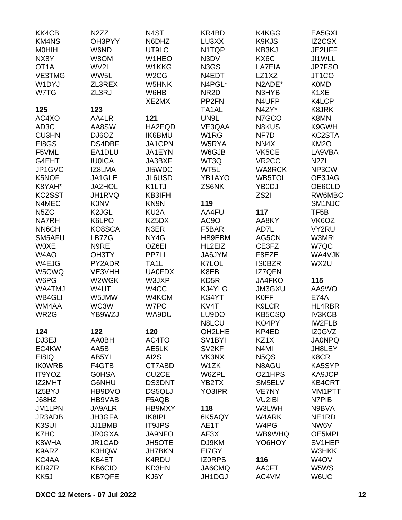| KK4CB             | N <sub>2</sub> ZZ     | N <sub>4</sub> ST          | KR4BD               | K4KGG                         | EA5GXI             |
|-------------------|-----------------------|----------------------------|---------------------|-------------------------------|--------------------|
| <b>KM4NS</b>      | OH3PYY                | N6DHZ                      | LU3XX               | K9KJS                         | IZ2CSX             |
| <b>MOHIH</b>      | W6ND                  | UT9LC                      | N1TQP               | KB3KJ                         | JE2UFF             |
| NX8Y              | W8OM                  | W1HEO                      | N3DV                | KX6C                          | JI1WLL             |
| OT <sub>1</sub> A | WV2I                  | W1KKG                      | N3GS                | LA7EIA                        | JP7FSO             |
| VE3TMG            | WW5L                  | W <sub>2</sub> CG          | N4EDT               | LZ1XZ                         | JT1CO              |
| W1DYJ             | ZL3REX                | W5HNK                      | N4PGL*              | N2ADE*                        | <b>K0MD</b>        |
| W7TG              | ZL3RJ                 | W6HB                       | NR <sub>2</sub> D   | N3HYB                         | K <sub>1</sub> XE  |
|                   |                       | XE2MX                      | PP <sub>2FN</sub>   | N4UFP                         | K4LCP              |
| 125               | 123                   |                            | TA <sub>1</sub> AL  | N4ZY*                         | <b>K8JRK</b>       |
| AC4XO             | AA4LR                 | 121                        | UN9L                | N7GCO                         | K8MN               |
| AD <sub>3</sub> C | AA8SW                 | HA2EQD                     | VE3QAA              | <b>N8KUS</b>                  | K9GWH              |
| <b>CU3HN</b>      | DJ6OZ                 | <b>IK6BMU</b>              | W <sub>1</sub> RG   | NF7D                          | KC2STA             |
| EI8GS             | DS4DBF                | JA1CPN                     | W5RYA               | NN4X                          | <b>KM2O</b>        |
| F5VML             | EA1DLU                | JA1EYN                     | W6GJB               | VK5CE                         | LA9VBA             |
| G4EHT             | <b>IU0ICA</b>         | JA3BXF                     | WT3Q                | VR <sub>2</sub> CC            | N <sub>2</sub> ZL  |
| JP1GVC            | IZ8LMA                | JI5WDC                     | WT5L                | <b>WA8RCK</b>                 | NP3CW              |
| K5NOF             | JA1GLE                | JL6USD                     | YB1AYO              | WB5TOI                        | OE3JAG             |
| K8YAH*            | JA2HOL                | K1LTJ                      | ZS6NK               | YB0DJ                         | OE6CLD             |
| KC2SST            |                       | KB3IFH                     |                     | ZS <sub>2</sub> I             | RW6MBC             |
| N4MEC             | JH1RVQ<br><b>K0NV</b> | KN9N                       | 119                 |                               | SM <sub>1NJC</sub> |
|                   | K <sub>2</sub> JGL    |                            | AA4FU               | 117                           | TF <sub>5</sub> B  |
| N <sub>5</sub> ZC | K6LPO                 | KU <sub>2</sub> A<br>KZ5DX | AC9O                |                               | VK6OZ              |
| <b>NA7RH</b>      |                       |                            |                     | AA8KY                         |                    |
| NN6CH             | KO8SCA                | N3ER                       | F5BAR               | AD7L                          | VY2RU              |
| SM5AFU            | LB7ZG                 | NY4G                       | HB9EBM              | AG5CN                         | <b>W3MRL</b>       |
| <b>WOXE</b>       | N9RE                  | OZ6EI                      | HL2EIZ              | CE3FZ                         | W7QC               |
| W4AO              | OH3TY                 | <b>PP7LL</b>               | JA6JYM              | F8EZE                         | WA4VJK             |
| W4EJG             | PY2ADR                | TA <sub>1</sub> L          | K7LOL               | <b>ISOBZR</b>                 | WX2U               |
| W5CWQ             | VE3VHH                | <b>UA0FDX</b>              | K8EB                | <b>IZ7QFN</b>                 |                    |
| W6PG              | W2WGK                 | W3JXP                      | KD <sub>5</sub> R   | <b>JA4FKO</b>                 | 115                |
| WA4TMJ            | W4UT                  | W4CC                       | KJ4YLO              | JM3GXU                        | AA9WO              |
| WB4GLI            | W5JMW                 | W4KCM                      | KS4YT               | <b>K0FF</b>                   | <b>E74A</b>        |
| WM4AA             | WC3W                  | W7PC                       | KV4T                | K9LCR                         | HL4RBR             |
| WR <sub>2</sub> G | YB9WZJ                | WA9DU                      | LU9DO               | <b>KB5CSQ</b>                 | <b>IV3KCB</b>      |
|                   |                       |                            | N8LCU               | KO4PY                         | <b>IW2FLB</b>      |
| 124               | 122                   | 120                        | OH2LHE              | KP4ED                         | IZ0GVZ             |
| DJ3EJ             | AA0BH                 | AC4TO                      | SV <sub>1</sub> BYI | KZ1X                          | <b>JA0NPQ</b>      |
| EC4KW             | AA5B                  | AE5LK                      | SV <sub>2KF</sub>   | N <sub>4</sub> MI             | JH8LEY             |
| EI8IQ             | AB5YI                 | AI2S                       | VK3NX               | N <sub>5</sub> Q <sub>S</sub> | K8CR               |
| <b>IKOWRB</b>     | F4GTB                 | CT7ABD                     | W1ZK                | N8AGU                         | KA5SYP             |
| IT9YOZ            | <b>GOHSA</b>          | CU <sub>2</sub> CE         | W6ZPL               | OZ1HPS                        | KA9JCP             |
| IZ2MHT            | G6NHU                 | DS3DNT                     | YB2TX               | SM5ELV                        | <b>KB4CRT</b>      |
| IZ5BYJ            | HB9DVO                | DS5QLJ                     | YO3IPR              | <b>VE7NY</b>                  | MM1PTT             |
| J68HZ             | HB9VAB                | F5AQB                      |                     | <b>VU2IBI</b>                 | N7PIB              |
| JM1LPN            | <b>JA9ALR</b>         | HB9MXY                     | 118                 | W3LWH                         | N9BVA              |
| JR3ADB            | JH3GFA                | IK8IPL                     | 6K5AQY              | W4ARK                         | NE <sub>1</sub> RD |
| K3SUI             | JJ1BMB                | <b>IT9JPS</b>              | AE1T                | W4PG                          | NW6V               |
| K7HC              | <b>JR0GXA</b>         | <b>JA9NFO</b>              | AF3X                | WB9WHQ                        | OE5MPL             |
| K8WHA             | JR1CAD                | <b>JH5OTE</b>              | DJ9KM               | YO6HOY                        | SV1HEP             |
| K9ARZ             | <b>K0HQW</b>          | <b>JH7BKN</b>              | EI7GY               |                               | W3HKK              |
| KC4AA             | KB4ET                 | K4RDU                      | <b>IZORPS</b>       | 116                           | W <sub>4</sub> OV  |
| KD9ZR             | KB6CIO                | KD3HN                      | JA6CMQ              | <b>AA0FT</b>                  | W5WS               |
| KK5J              | <b>KB7QFE</b>         | KJ6Y                       | JH1DGJ              | AC4VM                         | W6UC               |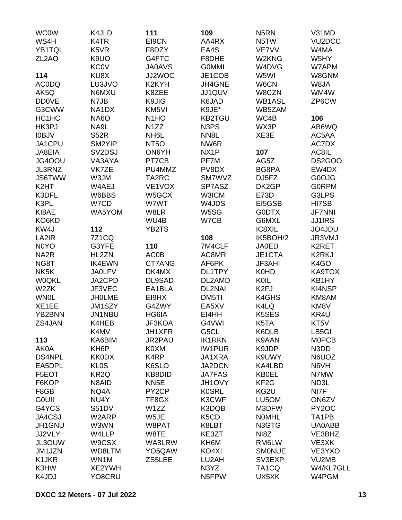| <b>WC0W</b>        | K4JLD                           | 111                | 109                           | N <sub>5</sub> RN  | V31MD               |
|--------------------|---------------------------------|--------------------|-------------------------------|--------------------|---------------------|
| WS4H               | K4TR                            | EI9CN              | AA4RX                         | N5TW               | VU <sub>2</sub> DCC |
| YB1TQL             | K5VR                            | F8DZY              | EA4S                          | VE7VV              | W4MA                |
| ZL <sub>2</sub> AO | K9UO                            | G4FTC              | F8DHE                         | W2KNG              | W5HY                |
|                    | <b>KC0V</b>                     | <b>JA0AVS</b>      | <b>GOMMI</b>                  | W4DVG              | W7APM               |
| 114                | KU8X                            | JJ2WOC             | JE1COB                        | W5WI               | W8GNM               |
| <b>AC0DQ</b>       | LU3JVO                          | K2KYH              | JH4GNE                        | W6CN               | W8JA                |
| AK5Q               | N6MXU                           | K8ZEE              | JJ1QUV                        | W8CZN              | WM4W                |
| <b>DD0VE</b>       | N7JB                            | K9JIG              | K6JAD                         | <b>WB1ASL</b>      | ZP6CW               |
| G3CWW              | NA1DX                           | KM5VI              | K9JE*                         | WB5ZAM             |                     |
| HC1HC              | <b>NA6O</b>                     | N <sub>1</sub> HO  | <b>KB2TGU</b>                 | WC4B               | 106                 |
| HK3PJ              | NA9L                            |                    | N <sub>3</sub> P <sub>S</sub> | WX3P               |                     |
|                    |                                 | N <sub>1</sub> ZZ  |                               |                    | AB6WQ               |
| <b>IOBJV</b>       | <b>S52R</b>                     | NH <sub>6</sub> L  | NN <sub>8</sub> L             | XE3E               | AC5AA               |
| JA1CPU             | SM2YIP                          | NT <sub>50</sub>   | NW6R                          |                    | AC7DX               |
| JA8EIA             | SV <sub>2</sub> D <sub>SJ</sub> | ON6YH              | NX1P                          | 107                | AC8IL               |
| JG4OOU             | VA3AYA                          | PT7CB              | PF7M                          | AG5Z               | <b>DS2GOO</b>       |
| JL3RNZ             | VK7ZE                           | PU4MMZ             | PV8DX                         | BG8PA              | EW4DX               |
| <b>JS6TWW</b>      | W3JM                            | TA2RC              | SM7WVZ                        | DJ5FZ              | G0OJG               |
| K <sub>2</sub> HT  | W4AEJ                           | VE1VOX             | SP7ASZ                        | DK2GP              | <b>GORPM</b>        |
| K3DFL              | W6BBS                           | W5GCX              | <b>W3ICM</b>                  | <b>E73D</b>        | G3LPS               |
| K3PL               | W7CD                            | W7WT               | W4JDS                         | EI5GSB             | HI7SB               |
| KI8AE              | WA5YOM                          | W8LR               | W5SG                          | <b>GODTX</b>       | <b>JF7NNI</b>       |
| KO6KD              |                                 | WU4B               | W7CB                          | G6MXL              | <b>JJ1IRS</b>       |
| KW4J               | 112                             | YB2TS              |                               | IC8XIL             | JO4JDU              |
| LA2IR              | <b>7Z1CQ</b>                    |                    | 108                           | IK5BOH/2           | JR3VMJ              |
| N0YO               | G3YFE                           | 110                | 7M4CLF                        | <b>JA0ED</b>       | K2RET               |
| NA <sub>2</sub> R  | HL2ZN                           | <b>AC0B</b>        | AC8MR                         | JE1CTA             | K2RKJ               |
| NG8T               | <b>IK4EWN</b>                   | CT7ANG             | AF6PK                         | JF3AHI             | K <sub>4</sub> GO   |
| NK <sub>5</sub> K  | <b>JA0LFV</b>                   | DK4MX              | DL1TPY                        | <b>K0HD</b>        | KA9TOX              |
| <b>W0QKL</b>       | JA2CPD                          | DL9SAD             | DL2AMD                        | KOIL               | KB1HY               |
| W2ZK               | JF3VEC                          | EA1BLA             | DL2NAI                        | K <sub>2FJ</sub>   | KI4NSP              |
| <b>WN0L</b>        | <b>JHOLME</b>                   | EI9HX              | DM5TI                         | K4GHS              | KM8AM               |
| XE1EE              | JM1SZY                          | G4ZWY              | EA5XV                         | K4LQ               | KM8V                |
| YB2BNN             | JN1NBU                          | HG6IA              | EI4HH                         | K5SES              | KR4U                |
| ZS4JAN             | K4HEB                           | JF3KOA             | G4VWI                         | K5TA               | KT5V                |
|                    | K4MV                            | JH1XFR             | G5CL                          | K6DLB              | LB5GI               |
| 113                | KA6BIM                          | <b>JR2PAU</b>      | <b>IK1RKN</b>                 | K9AAN              | <b>MOPCB</b>        |
| AK0A               | KH <sub>6</sub> P               | K0XM               | <b>IW1PUR</b>                 | K9JDP              | N3DD                |
| <b>DS4NPL</b>      | <b>KK0DX</b>                    | K4RP               | JA1XRA                        | K9UWY              | N6UOZ               |
|                    |                                 |                    |                               | KA4LBD             |                     |
| EA5DPL             | <b>KLOS</b>                     | K6SLO              | JA2DCN                        |                    | N6VH                |
| F5EOT              | KR <sub>2Q</sub>                | KB8DID             | <b>JA7FAS</b>                 | <b>KB0EL</b>       | N7MW                |
| F6KOP              | N8AID                           | NN <sub>5</sub> E  | JH1OVY                        | KF <sub>2</sub> G  | ND3L                |
| F8GB               | NQ4A                            | PY <sub>2</sub> CP | <b>K0SRL</b>                  | KG2U               | NI7F                |
| <b>GOUII</b>       | NU4Y                            | TF8GX              | K3CWF                         | LU5OM              | ON6ZV               |
| G4YCS              | <b>S51DV</b>                    | W1ZZ               | K3DQB                         | M3DFW              | PY <sub>2</sub> OC  |
| JA4CSJ             | W2ARP                           | W5JE               | K <sub>5</sub> C <sub>D</sub> | <b>NOMHL</b>       | TA1PB               |
| JH1GNU             | W3WN                            | W8PAT              | K8LBT                         | N3GTG              | UA0ABB              |
| JJ2VLY             | W4LLP                           | W8TE               | KE3ZT                         | NI8Z               | VE3BHZ              |
| JL3OUW             | W9CSX                           | WA8LRW             | KH6M                          | RM6LW              | VE3XK               |
| JM1JZN             | WD8LTM                          | YO5QAW             | KO4XI                         | <b>SMONUE</b>      | VE3YXO              |
| K1JKR              | WN1M                            | ZS5LEE             | LU2AH                         | SV3EXP             | VU2MB               |
| K3HW               | XE2YWH                          |                    | N3YZ                          | TA <sub>1</sub> CQ | W4/KL7GLL           |
| K4JDJ              | YO8CRU                          |                    | N5FPW                         | UX5XK              | W4PGM               |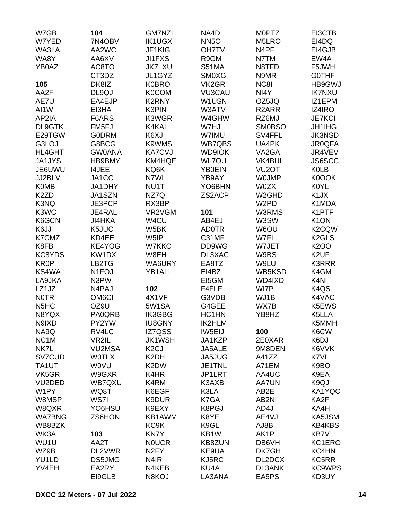| W7GB                          | 104                | <b>GM7NZI</b>     | NA4D          | <b>MOPTZ</b>       | EI3CTB            |
|-------------------------------|--------------------|-------------------|---------------|--------------------|-------------------|
| W7YED                         | 7N4OBV             | <b>IK1UGX</b>     | <b>NN5O</b>   | M5LRO              | EI4DQ             |
| WA3IIA                        | AA2WC              | JF1KIG            | <b>OH7TV</b>  | N <sub>4</sub> PF  | EI4GJB            |
| WA8Y                          | AA6XV              | <b>JI1FXS</b>     | R9GM          | N7TM               | EW4A              |
| YB0AZ                         | AC8TO              | <b>JK7LXU</b>     | <b>S51MA</b>  | N8TFD              | F5JWH             |
|                               | CT3DZ              | JL1GYZ            | <b>SM0XG</b>  | N9MR               | <b>GOTHF</b>      |
| 105                           | DK8IZ              | <b>K0BRO</b>      | VK2GR         | NC8I               | HB9GWJ            |
| AA2F                          | DL9QJ              | <b>K0COM</b>      | <b>VU3CAU</b> | NI4Y               | <b>IK7NXU</b>     |
| AE7U                          | EA4EJP             | <b>K2RNY</b>      | W1USN         | OZ5JQ              | IZ1EPM            |
| AI1W                          | EI3HA              | K3PIN             | W3ATV         | R <sub>2</sub> ARR | <b>IZ4IRO</b>     |
| AP2IA                         |                    | K3WGR             |               | RZ6MJ              | <b>JE7KCI</b>     |
| DL9GTK                        | F6ARS              |                   | W4GHW         |                    |                   |
|                               | FM5FJ              | K4KAL             | W7HJ          | <b>SM0BSO</b>      | <b>JH1IHG</b>     |
| E29TGW                        | <b>G0DRM</b>       | K6XJ              | W7IMU         | SV4FFL             | <b>JK3NSD</b>     |
| G3LOJ                         | G8BCG              | K9WMS             | <b>WB7QBS</b> | UA4PK              | <b>JR0QFA</b>     |
| <b>HL4GHT</b>                 | <b>GW0ANA</b>      | <b>KA7CVJ</b>     | <b>WD9IOK</b> | VA2GA              | JR4VEV            |
| <b>JA1JYS</b>                 | <b>HB9BMY</b>      | KM4HQE            | <b>WL7OU</b>  | <b>VK4BUI</b>      | <b>JS6SCC</b>     |
| JE6UWU                        | <b>I4JEE</b>       | KQ6K              | <b>YB0EIN</b> | VU <sub>2</sub> OT | <b>K0LB</b>       |
| JJ2BLV                        | JA1CC              | N7WI              | YB9AY         | <b>WOJMP</b>       | K0OOK             |
| <b>K0MB</b>                   | JA1DHY             | NU1T              | YO6BHN        | <b>W0ZX</b>        | <b>K0YL</b>       |
| K <sub>2</sub> ZD             | JA1SZN             | NZ7Q              | ZS2ACP        | W <sub>2</sub> GHD | K <sub>1</sub> JX |
| K3NQ                          | JE3PCP             | RX3BP             |               | W <sub>2</sub> PD  | K1MDA             |
| K3WC                          | JE4RAL             | VR2VGM            | 101           | W3RMS              | K1PTF             |
| K6GCN                         | <b>JI4HKA</b>      | W4CU              | AB4EJ         | W3SW               | K <sub>1</sub> QN |
| K6JJ                          | K5JUC              | W5BK              | <b>AD0TR</b>  | W6OU               | K2CQW             |
| K7CMZ                         | KD4EE              | W5IP              | C31MF         | W7FI               | K2GLS             |
| K8FB                          | KE4YOG             | W7KKC             | DD9WG         | W7JET              | <b>K2OO</b>       |
| KC8YDS                        | KW1DX              | W8EH              | DL3XAC        | W9BS               | K <sub>2</sub> UF |
| <b>KR0P</b>                   | LB2TG              | WA6URY            | EA8TZ         | W9LU               | <b>K3RRR</b>      |
| KS4WA                         | N <sub>1</sub> FOJ | YB1ALL            | EI4BZ         | WB5KSD             | K4GM              |
| LA9JKA                        | N3PW               |                   | EI5GM         | WD4IXD             | K <sub>4N</sub>   |
| LZ1JZ                         | N4PAJ              | 102               | F4FLF         | WI7P               | K <sub>4</sub> QS |
| <b>NOTR</b>                   | OM <sub>6</sub> CI | 4X1VF             | G3VDB         | WJ1B               | K4VAC             |
| N <sub>5</sub> H <sub>C</sub> | OZ9U               | 5W1SA             | G4GEE         | WX7B               | K5EWS             |
| N8YQX                         | PA0QRB             | <b>IK3GBG</b>     | HC1HN         | YB8HZ              | K5LLA             |
| N9IXD                         | PY2YW              | <b>IU8GNY</b>     | <b>IK2HLM</b> |                    | K5MMH             |
| NA9Q                          | RV4LC              | IZ7QSS            | IW5EIJ        | 100                | K6CW              |
| NC <sub>1</sub> M             | VR2IL              | <b>JK1WSH</b>     | JA1KZP        | 2E0XAR             | K6DJ              |
| NK7L                          | <b>VU2MSA</b>      | K <sub>2</sub> CJ | JA5ALE        | 9M8DEN             | K6VVK             |
| SV7CUD                        | <b>WOTLX</b>       | K <sub>2</sub> DH | JA5JUG        | A41ZZ              | K7VL              |
| TA1UT                         | <b>WOVU</b>        | K2DW              | JE1TNL        | A71EM              | K9BO              |
| VK5GR                         | W9GXR              | K4HR              | JP1LRT        | AA4UC              | K9EA              |
| VU <sub>2</sub> DED           | WB7QXU             | K4RM              | K3AXB         | <b>AA7UN</b>       | K9QJ              |
| W1PY                          | WQ8T               | K6EGF             | K3LA          | AB2E               | KA1YQC            |
| W8MSP                         | WS7I               | K9DUR             | K7GA          | AB2NI              | KA2F              |
|                               |                    | K9EXY             |               |                    |                   |
| W8QXR                         | YO6HSU             |                   | K8PGJ         | AD4J               | KA4H              |
| <b>WA7BNG</b>                 | ZS6HON             | KB1AWM            | K8YE          | AE4VJ              | KA5JSM            |
| WB8BZK                        |                    | KC9K              | K9GL          | AJ8B               | <b>KB4KBS</b>     |
| WK3A                          | 103                | <b>KN7Y</b>       | KB1W          | AK1P               | <b>KB7V</b>       |
| WU1U                          | AA2T               | <b>NOUCR</b>      | <b>KB8ZUN</b> | DB6VH              | KC1ERO            |
| WZ9B                          | DL2VWR             | N <sub>2</sub> FY | KE9UA         | DK7GH              | KC4HN             |
| YU1LD                         | DS5JMG             | N4IR              | KJ5RC         | DL2DCX             | KC5RR             |
| YV4EH                         | EA2RY              | N4KEB             | KU4A          | DL3ANK             | <b>KC9WPS</b>     |
|                               | EI9GLB             | N8KOJ             | LA3ANA        | EA5PS              | KD3UY             |